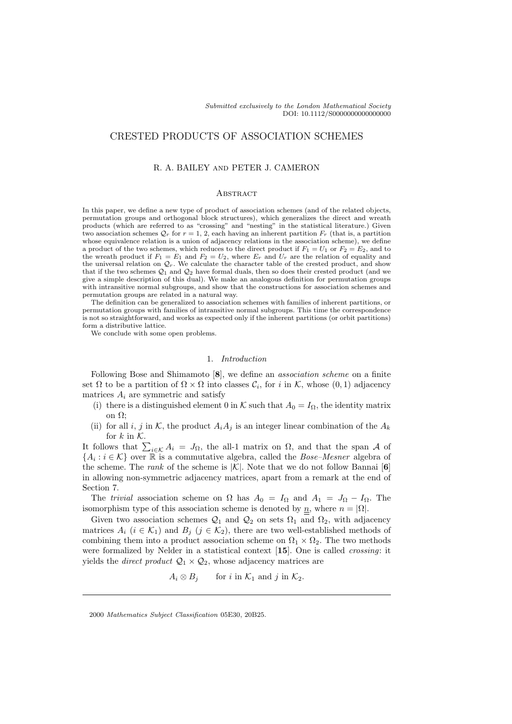# CRESTED PRODUCTS OF ASSOCIATION SCHEMES

## R. A. BAILEY and PETER J. CAMERON

## **ABSTRACT**

In this paper, we define a new type of product of association schemes (and of the related objects, permutation groups and orthogonal block structures), which generalizes the direct and wreath products (which are referred to as "crossing" and "nesting" in the statistical literature.) Given two association schemes  $\mathcal{Q}_r$  for  $r = 1, 2$ , each having an inherent partition  $F_r$  (that is, a partition whose equivalence relation is a union of adjacency relations in the association scheme), we define a product of the two schemes, which reduces to the direct product if  $F_1 = U_1$  or  $F_2 = E_2$ , and to the wreath product if  $F_1 = E_1$  and  $F_2 = U_2$ , where  $E_r$  and  $U_r$  are the relation of equality and the universal relation on  $\mathcal{Q}_r$ . We calculate the character table of the crested product, and show that if the two schemes  $\mathcal{Q}_1$  and  $\mathcal{Q}_2$  have formal duals, then so does their crested product (and we give a simple description of this dual). We make an analogous definition for permutation groups with intransitive normal subgroups, and show that the constructions for association schemes and permutation groups are related in a natural way.

The definition can be generalized to association schemes with families of inherent partitions, or permutation groups with families of intransitive normal subgroups. This time the correspondence is not so straightforward, and works as expected only if the inherent partitions (or orbit partitions) form a distributive lattice.

We conclude with some open problems.

### 1. Introduction

Following Bose and Shimamoto [8], we define an *association scheme* on a finite set  $\Omega$  to be a partition of  $\Omega \times \Omega$  into classes  $\mathcal{C}_i$ , for i in K, whose  $(0,1)$  adjacency matrices  $A_i$  are symmetric and satisfy

- (i) there is a distinguished element 0 in K such that  $A_0 = I_{\Omega}$ , the identity matrix on Ω;
- (ii) for all i, j in K, the product  $A_iA_j$  is an integer linear combination of the  $A_k$ for  $k$  in  $K$ .

It follows that  $\sum_{i\in\mathcal{K}} A_i = J_{\Omega}$ , the all-1 matrix on  $\Omega$ , and that the span A of  ${A_i : i \in K}$  over R is a commutative algebra, called the *Bose–Mesner* algebra of the scheme. The *rank* of the scheme is  $|\mathcal{K}|$ . Note that we do not follow Bannai [6] in allowing non-symmetric adjacency matrices, apart from a remark at the end of Section 7.

The trivial association scheme on  $\Omega$  has  $A_0 = I_{\Omega}$  and  $A_1 = J_{\Omega} - I_{\Omega}$ . The isomorphism type of this association scheme is denoted by  $\underline{n}$ , where  $n = |\Omega|$ .

Given two association schemes  $\mathcal{Q}_1$  and  $\mathcal{Q}_2$  on sets  $\Omega_1$  and  $\Omega_2$ , with adjacency matrices  $A_i$  ( $i \in \mathcal{K}_1$ ) and  $B_j$  ( $j \in \mathcal{K}_2$ ), there are two well-established methods of combining them into a product association scheme on  $\Omega_1 \times \Omega_2$ . The two methods were formalized by Nelder in a statistical context [15]. One is called crossing: it yields the *direct product*  $\mathcal{Q}_1 \times \mathcal{Q}_2$ , whose adjacency matrices are

$$
A_i \otimes B_j \qquad \text{for } i \text{ in } \mathcal{K}_1 \text{ and } j \text{ in } \mathcal{K}_2.
$$

<sup>2000</sup> Mathematics Subject Classification 05E30, 20B25.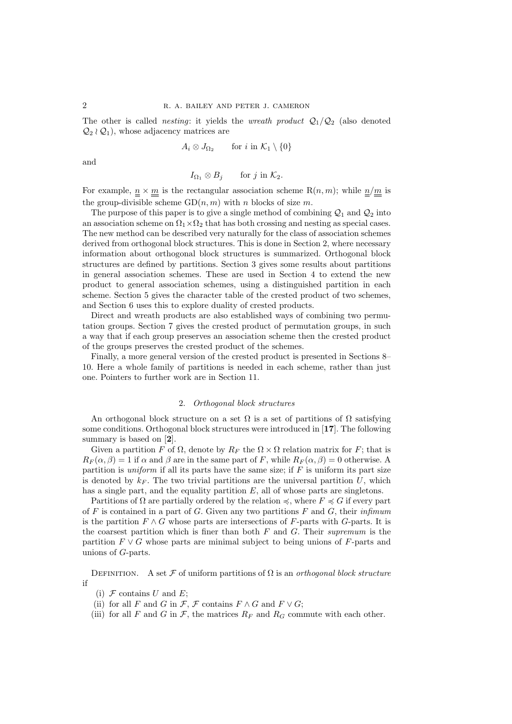The other is called *nesting*: it yields the *wreath product*  $Q_1/Q_2$  (also denoted  $\mathcal{Q}_2 \wr \mathcal{Q}_1$ , whose adjacency matrices are

$$
A_i \otimes J_{\Omega_2} \qquad \text{for } i \text{ in } \mathcal{K}_1 \setminus \{0\}
$$

and

$$
I_{\Omega_1} \otimes B_j \qquad \text{for } j \text{ in } \mathcal{K}_2.
$$

For example,  $\underline{n} \times \underline{m}$  is the rectangular association scheme R $(n, m)$ ; while  $\underline{n}/\underline{m}$  is the group-divisible scheme  $GD(n, m)$  with n blocks of size m.

The purpose of this paper is to give a single method of combining  $\mathcal{Q}_1$  and  $\mathcal{Q}_2$  into an association scheme on  $\Omega_1 \times \Omega_2$  that has both crossing and nesting as special cases. The new method can be described very naturally for the class of association schemes derived from orthogonal block structures. This is done in Section 2, where necessary information about orthogonal block structures is summarized. Orthogonal block structures are defined by partitions. Section 3 gives some results about partitions in general association schemes. These are used in Section 4 to extend the new product to general association schemes, using a distinguished partition in each scheme. Section 5 gives the character table of the crested product of two schemes, and Section 6 uses this to explore duality of crested products.

Direct and wreath products are also established ways of combining two permutation groups. Section 7 gives the crested product of permutation groups, in such a way that if each group preserves an association scheme then the crested product of the groups preserves the crested product of the schemes.

Finally, a more general version of the crested product is presented in Sections 8– 10. Here a whole family of partitions is needed in each scheme, rather than just one. Pointers to further work are in Section 11.

## 2. Orthogonal block structures

An orthogonal block structure on a set  $\Omega$  is a set of partitions of  $\Omega$  satisfying some conditions. Orthogonal block structures were introduced in [17]. The following summary is based on [2].

Given a partition F of  $\Omega$ , denote by  $R_F$  the  $\Omega \times \Omega$  relation matrix for F; that is  $R_F(\alpha, \beta) = 1$  if  $\alpha$  and  $\beta$  are in the same part of F, while  $R_F(\alpha, \beta) = 0$  otherwise. A partition is *uniform* if all its parts have the same size; if  $F$  is uniform its part size is denoted by  $k_F$ . The two trivial partitions are the universal partition U, which has a single part, and the equality partition  $E$ , all of whose parts are singletons.

Partitions of  $\Omega$  are partially ordered by the relation  $\preccurlyeq$ , where  $F \preccurlyeq G$  if every part of F is contained in a part of G. Given any two partitions F and G, their infimum is the partition  $F \wedge G$  whose parts are intersections of F-parts with G-parts. It is the coarsest partition which is finer than both  $F$  and  $G$ . Their supremum is the partition  $F \vee G$  whose parts are minimal subject to being unions of F-parts and unions of G-parts.

DEFINITION. A set  $\mathcal F$  of uniform partitions of  $\Omega$  is an orthogonal block structure if

- (i)  $\mathcal F$  contains U and E;
- (ii) for all F and G in F, F contains  $F \wedge G$  and  $F \vee G$ ;
- (iii) for all F and G in F, the matrices  $R_F$  and  $R_G$  commute with each other.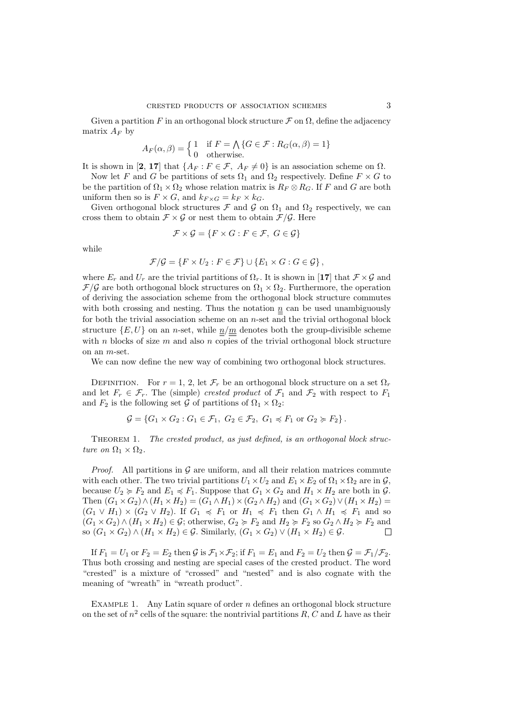Given a partition F in an orthogonal block structure  $\mathcal F$  on  $\Omega$ , define the adjacency matrix  $A_F$  by

$$
A_F(\alpha, \beta) = \begin{cases} 1 & \text{if } F = \bigwedge \{ G \in \mathcal{F} : R_G(\alpha, \beta) = 1 \} \\ 0 & \text{otherwise.} \end{cases}
$$

It is shown in [2, 17] that  $\{A_F : F \in \mathcal{F}, A_F \neq 0\}$  is an association scheme on  $\Omega$ .

Now let F and G be partitions of sets  $\Omega_1$  and  $\Omega_2$  respectively. Define  $F \times G$  to be the partition of  $\Omega_1 \times \Omega_2$  whose relation matrix is  $R_F \otimes R_G$ . If F and G are both uniform then so is  $F \times G$ , and  $k_{F \times G} = k_F \times k_G$ .

Given orthogonal block structures  $\mathcal F$  and  $\mathcal G$  on  $\Omega_1$  and  $\Omega_2$  respectively, we can cross them to obtain  $\mathcal{F} \times \mathcal{G}$  or nest them to obtain  $\mathcal{F}/\mathcal{G}$ . Here

$$
\mathcal{F} \times \mathcal{G} = \{ F \times G : F \in \mathcal{F}, \ G \in \mathcal{G} \}
$$

while

$$
\mathcal{F}/\mathcal{G} = \{ F \times U_2 : F \in \mathcal{F} \} \cup \{ E_1 \times G : G \in \mathcal{G} \},
$$

where  $E_r$  and  $U_r$  are the trivial partitions of  $\Omega_r$ . It is shown in [17] that  $\mathcal{F} \times \mathcal{G}$  and  $\mathcal{F}/\mathcal{G}$  are both orthogonal block structures on  $\Omega_1 \times \Omega_2$ . Furthermore, the operation of deriving the association scheme from the orthogonal block structure commutes with both crossing and nesting. Thus the notation  $\underline{n}$  can be used unambiguously for both the trivial association scheme on an  $n$ -set and the trivial orthogonal block structure  ${E, U}$  on an *n*-set, while  $n/m$  denotes both the group-divisible scheme with n blocks of size m and also n copies of the trivial orthogonal block structure on an m-set.

We can now define the new way of combining two orthogonal block structures.

DEFINITION. For  $r = 1, 2$ , let  $\mathcal{F}_r$  be an orthogonal block structure on a set  $\Omega_r$ and let  $F_r \in \mathcal{F}_r$ . The (simple) crested product of  $\mathcal{F}_1$  and  $\mathcal{F}_2$  with respect to  $F_1$ and  $F_2$  is the following set G of partitions of  $\Omega_1 \times \Omega_2$ :

$$
\mathcal{G} = \{G_1 \times G_2 : G_1 \in \mathcal{F}_1, G_2 \in \mathcal{F}_2, G_1 \preccurlyeq F_1 \text{ or } G_2 \succcurlyeq F_2\}.
$$

Theorem 1. The crested product, as just defined, is an orthogonal block structure on  $\Omega_1 \times \Omega_2$ .

*Proof.* All partitions in  $G$  are uniform, and all their relation matrices commute with each other. The two trivial partitions  $U_1 \times U_2$  and  $E_1 \times E_2$  of  $\Omega_1 \times \Omega_2$  are in  $\mathcal{G}$ , because  $U_2 \succcurlyeq F_2$  and  $E_1 \preccurlyeq F_1$ . Suppose that  $G_1 \times G_2$  and  $H_1 \times H_2$  are both in  $\mathcal{G}$ . Then  $(G_1 \times G_2) \wedge (H_1 \times H_2) = (G_1 \wedge H_1) \times (G_2 \wedge H_2)$  and  $(G_1 \times G_2) \vee (H_1 \times H_2) =$  $(G_1 \vee H_1) \times (G_2 \vee H_2)$ . If  $G_1 \preccurlyeq F_1$  or  $H_1 \preccurlyeq F_1$  then  $G_1 \wedge H_1 \preccurlyeq F_1$  and so  $(G_1 \times G_2) \wedge (H_1 \times H_2) \in \mathcal{G}$ ; otherwise,  $G_2 \succcurlyeq F_2$  and  $H_2 \succcurlyeq F_2$  so  $G_2 \wedge H_2 \succcurlyeq F_2$  and so  $(G_1 \times G_2) \wedge (H_1 \times H_2) \in \mathcal{G}$ . Similarly,  $(G_1 \times G_2) \vee (H_1 \times H_2) \in \mathcal{G}$ .  $\Box$ 

If  $F_1 = U_1$  or  $F_2 = E_2$  then  $\mathcal G$  is  $\mathcal F_1 \times \mathcal F_2$ ; if  $F_1 = E_1$  and  $F_2 = U_2$  then  $\mathcal G = \mathcal F_1/\mathcal F_2$ . Thus both crossing and nesting are special cases of the crested product. The word "crested" is a mixture of "crossed" and "nested" and is also cognate with the meaning of "wreath" in "wreath product".

EXAMPLE 1. Any Latin square of order  $n$  defines an orthogonal block structure on the set of  $n^2$  cells of the square: the nontrivial partitions  $R, C$  and  $L$  have as their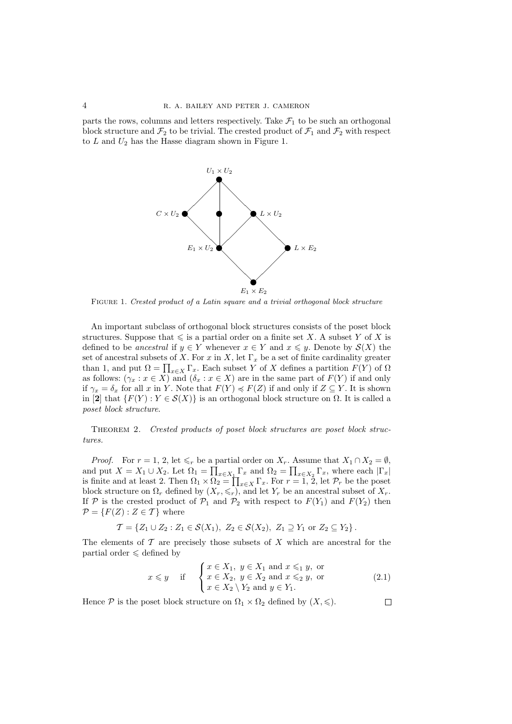parts the rows, columns and letters respectively. Take  $\mathcal{F}_1$  to be such an orthogonal block structure and  $\mathcal{F}_2$  to be trivial. The crested product of  $\mathcal{F}_1$  and  $\mathcal{F}_2$  with respect to  $L$  and  $U_2$  has the Hasse diagram shown in Figure 1.



Figure 1. Crested product of a Latin square and a trivial orthogonal block structure

An important subclass of orthogonal block structures consists of the poset block structures. Suppose that  $\leq$  is a partial order on a finite set X. A subset Y of X is defined to be ancestral if  $y \in Y$  whenever  $x \in Y$  and  $x \leq y$ . Denote by  $\mathcal{S}(X)$  the set of ancestral subsets of X. For x in X, let  $\Gamma_x$  be a set of finite cardinality greater than 1, and put  $\Omega = \prod_{x \in X} \Gamma_x$ . Each subset Y of X defines a partition  $F(Y)$  of  $\Omega$ as follows:  $(\gamma_x : x \in X)$  and  $(\delta_x : x \in X)$  are in the same part of  $F(Y)$  if and only if  $\gamma_x = \delta_x$  for all x in Y. Note that  $F(Y) \preccurlyeq F(Z)$  if and only if  $Z \subseteq Y$ . It is shown in [2] that  $\{F(Y) : Y \in \mathcal{S}(X)\}$  is an orthogonal block structure on  $\Omega$ . It is called a poset block structure.

Theorem 2. Crested products of poset block structures are poset block structures.

*Proof.* For  $r = 1, 2$ , let  $\leq r$  be a partial order on  $X_r$ . Assume that  $X_1 \cap X_2 = \emptyset$ , and put  $X = X_1 \cup X_2$ . Let  $\Omega_1 = \prod_{x \in X_1} \Gamma_x$  and  $\Omega_2 = \prod_{x \in X_2} \Gamma_x$ , where each  $|\Gamma_x|$ is finite and at least 2. Then  $\Omega_1 \times \Omega_2 = \prod_{x \in X} \Gamma_x$ . For  $r = 1, 2$ , let  $\mathcal{P}_r$  be the poset block structure on  $\Omega_r$  defined by  $(X_r, \leq r)$ , and let  $Y_r$  be an ancestral subset of  $X_r$ . If P is the crested product of  $P_1$  and  $P_2$  with respect to  $F(Y_1)$  and  $F(Y_2)$  then  $\mathcal{P} = \{F(Z) : Z \in \mathcal{T}\}\$  where

$$
\mathcal{T} = \{ Z_1 \cup Z_2 : Z_1 \in \mathcal{S}(X_1), Z_2 \in \mathcal{S}(X_2), Z_1 \supseteq Y_1 \text{ or } Z_2 \subseteq Y_2 \}.
$$

The elements of  $\mathcal T$  are precisely those subsets of  $X$  which are ancestral for the partial order  $\leq$  defined by

$$
x \leq y \quad \text{if} \quad \begin{cases} x \in X_1, \ y \in X_1 \text{ and } x \leq_1 y, \text{ or} \\ x \in X_2, \ y \in X_2 \text{ and } x \leq_2 y, \text{ or} \\ x \in X_2 \setminus Y_2 \text{ and } y \in Y_1. \end{cases} \tag{2.1}
$$

 $\Box$ 

Hence  $P$  is the poset block structure on  $\Omega_1 \times \Omega_2$  defined by  $(X, \leqslant)$ .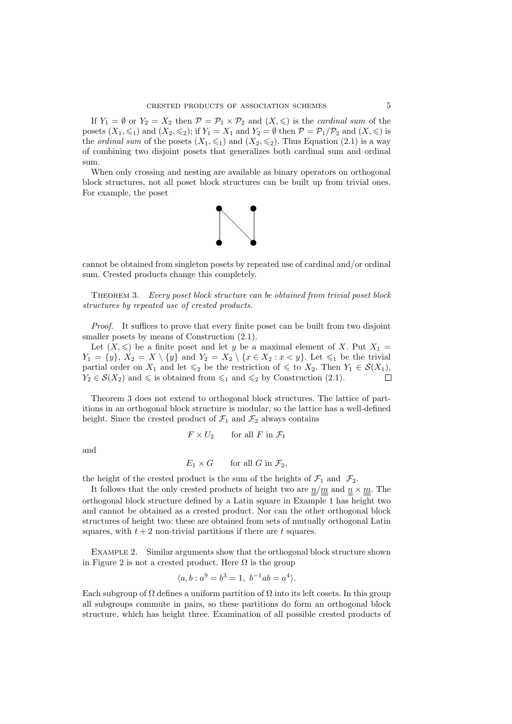If  $Y_1 = \emptyset$  or  $Y_2 = X_2$  then  $\mathcal{P} = \mathcal{P}_1 \times \mathcal{P}_2$  and  $(X, \leqslant)$  is the *cardinal sum* of the posets  $(X_1, \leq_1)$  and  $(X_2, \leq_2)$ ; if  $Y_1 = X_1$  and  $Y_2 = \emptyset$  then  $\mathcal{P} = \mathcal{P}_1/\mathcal{P}_2$  and  $(X, \leqslant)$  is the *ordinal sum* of the posets  $(X_1, \leqslant_1)$  and  $(X_2, \leqslant_2)$ . Thus Equation (2.1) is a way of combining two disjoint posets that generalizes both cardinal sum and ordinal sum.

When only crossing and nesting are available as binary operators on orthogonal block structures, not all poset block structures can be built up from trivial ones. For example, the poset



cannot be obtained from singleton posets by repeated use of cardinal and/or ordinal sum. Crested products change this completely.

Theorem 3. Every poset block structure can be obtained from trivial poset block structures by repeated use of crested products.

Proof. It suffices to prove that every finite poset can be built from two disjoint smaller posets by means of Construction  $(2.1)$ .

Let  $(X, \leq)$  be a finite poset and let y be a maximal element of X. Put  $X_1 =$  $Y_1 = \{y\}, X_2 = X \setminus \{y\}$  and  $Y_2 = X_2 \setminus \{x \in X_2 : x < y\}.$  Let  $\leq_1$  be the trivial partial order on  $X_1$  and let  $\leqslant_2$  be the restriction of  $\leqslant$  to  $X_2$ . Then  $Y_1 \in \mathcal{S}(X_1)$ ,  $Y_2 \in \mathcal{S}(X_2)$  and  $\leq$  is obtained from  $\leq_1$  and  $\leq_2$  by Construction (2.1).

Theorem 3 does not extend to orthogonal block structures. The lattice of partitions in an orthogonal block structure is modular, so the lattice has a well-defined height. Since the crested product of  $\mathcal{F}_1$  and  $\mathcal{F}_2$  always contains

$$
F \times U_2 \qquad \text{for all } F \text{ in } \mathcal{F}_1
$$

and

$$
E_1 \times G \qquad \text{for all } G \text{ in } \mathcal{F}_2,
$$

the height of the crested product is the sum of the heights of  $\mathcal{F}_1$  and  $\mathcal{F}_2$ .

It follows that the only crested products of height two are  $n/m$  and  $n \times m$ . The orthogonal block structure defined by a Latin square in Example 1 has height two and cannot be obtained as a crested product. Nor can the other orthogonal block structures of height two: these are obtained from sets of mutually orthogonal Latin squares, with  $t + 2$  non-trivial partitions if there are t squares.

Example 2. Similar arguments show that the orthogonal block structure shown in Figure 2 is not a crested product. Here  $\Omega$  is the group

$$
\langle a, b : a^9 = b^3 = 1, b^{-1}ab = a^4 \rangle.
$$

Each subgroup of  $\Omega$  defines a uniform partition of  $\Omega$  into its left cosets. In this group all subgroups commute in pairs, so these partitions do form an orthogonal block structure, which has height three. Examination of all possible crested products of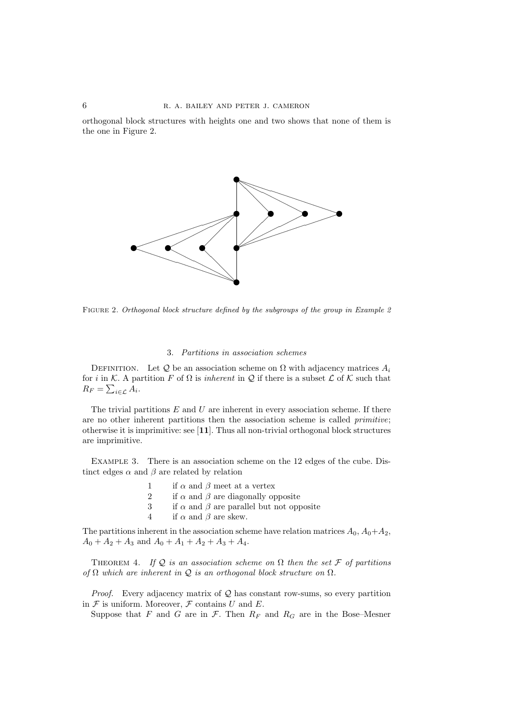orthogonal block structures with heights one and two shows that none of them is the one in Figure 2.



FIGURE 2. Orthogonal block structure defined by the subgroups of the group in Example 2

# 3. Partitions in association schemes

DEFINITION. Let Q be an association scheme on  $\Omega$  with adjacency matrices  $A_i$ for i in K. A partition F of  $\Omega$  is inherent in Q if there is a subset L of K such that  $R_F = \sum_{i \in \mathcal{L}} A_i$ .

The trivial partitions  $E$  and  $U$  are inherent in every association scheme. If there are no other inherent partitions then the association scheme is called primitive; otherwise it is imprimitive: see [11]. Thus all non-trivial orthogonal block structures are imprimitive.

Example 3. There is an association scheme on the 12 edges of the cube. Distinct edges  $\alpha$  and  $\beta$  are related by relation

- 1 if  $\alpha$  and  $\beta$  meet at a vertex
- 2 if  $\alpha$  and  $\beta$  are diagonally opposite
- 3 if  $\alpha$  and  $\beta$  are parallel but not opposite
- 4 if  $\alpha$  and  $\beta$  are skew.

The partitions inherent in the association scheme have relation matrices  $A_0$ ,  $A_0 + A_2$ ,  $A_0 + A_2 + A_3$  and  $A_0 + A_1 + A_2 + A_3 + A_4$ .

THEOREM 4. If Q is an association scheme on  $\Omega$  then the set  $\mathcal F$  of partitions of  $\Omega$  which are inherent in  $\mathcal Q$  is an orthogonal block structure on  $\Omega$ .

*Proof.* Every adjacency matrix of  $Q$  has constant row-sums, so every partition in  $\mathcal F$  is uniform. Moreover,  $\mathcal F$  contains U and E.

Suppose that F and G are in  $\mathcal{F}$ . Then  $R_F$  and  $R_G$  are in the Bose–Mesner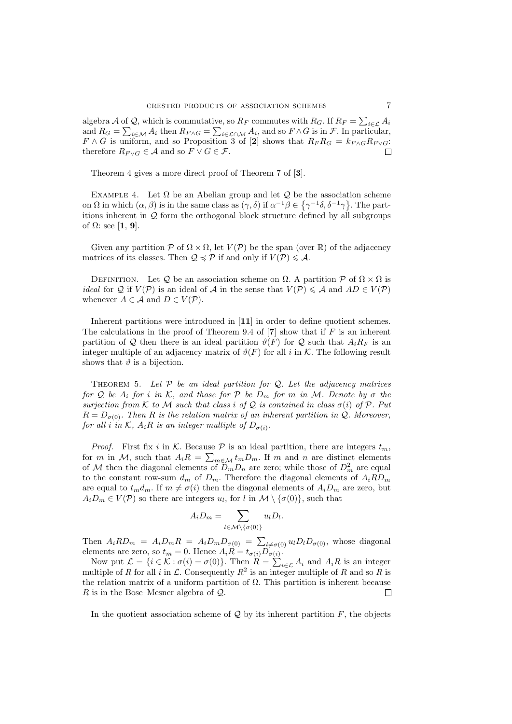algebra A of Q, which is commutative, so  $R_F$  commutes with  $R_G$ . If  $R_F = \sum_{i \in \mathcal{L}} A_i$ and  $R_G = \sum_{i \in \mathcal{M}} A_i$  then  $R_{F \wedge G} = \sum_{i \in \mathcal{L} \cap \mathcal{M}} A_i$ , and so  $F \wedge G$  is in  $\mathcal{F}$ . In particular,  $F \wedge G$  is uniform, and so Proposition 3 of [2] shows that  $R_F R_G = k_{F \wedge G} R_{F \vee G}$ : therefore  $R_{F\vee G} \in \mathcal{A}$  and so  $F \vee G \in \mathcal{F}$ .

Theorem 4 gives a more direct proof of Theorem 7 of [3].

EXAMPLE 4. Let  $\Omega$  be an Abelian group and let  $\mathcal Q$  be the association scheme on  $\Omega$  in which  $(\alpha, \beta)$  is in the same class as  $(\gamma, \delta)$  if  $\alpha^{-1}\beta \in {\gamma^{-1}\delta, \delta^{-1}\gamma}$ . The partitions inherent in  $Q$  form the orthogonal block structure defined by all subgroups of  $\Omega$ : see [1, 9].

Given any partition P of  $\Omega \times \Omega$ , let  $V(\mathcal{P})$  be the span (over R) of the adjacency matrices of its classes. Then  $\mathcal{Q} \preccurlyeq \mathcal{P}$  if and only if  $V(\mathcal{P}) \leq \mathcal{A}$ .

DEFINITION. Let Q be an association scheme on  $\Omega$ . A partition  $\mathcal P$  of  $\Omega \times \Omega$  is *ideal* for Q if  $V(\mathcal{P})$  is an ideal of A in the sense that  $V(\mathcal{P}) \leq A$  and  $AD \in V(\mathcal{P})$ whenever  $A \in \mathcal{A}$  and  $D \in V(\mathcal{P})$ .

Inherent partitions were introduced in [11] in order to define quotient schemes. The calculations in the proof of Theorem 9.4 of  $[7]$  show that if F is an inherent partition of Q then there is an ideal partition  $\vartheta(F)$  for Q such that  $A_i R_F$  is an integer multiple of an adjacency matrix of  $\vartheta(F)$  for all i in K. The following result shows that  $\vartheta$  is a bijection.

THEOREM 5. Let  $P$  be an ideal partition for  $Q$ . Let the adjacency matrices for Q be  $A_i$  for i in K, and those for P be  $D_m$  for m in M. Denote by  $\sigma$  the surjection from K to M such that class i of Q is contained in class  $\sigma(i)$  of P. Put  $R = D_{\sigma(0)}$ . Then R is the relation matrix of an inherent partition in Q. Moreover, for all i in K,  $A_iR$  is an integer multiple of  $D_{\sigma(i)}$ .

*Proof.* First fix i in K. Because  $P$  is an ideal partition, there are integers  $t_m$ , for m in M, such that  $A_i R = \sum_{m \in \mathcal{M}} t_m D_m$ . If m and n are distinct elements of M then the diagonal elements of  $\overline{D}_m D_n$  are zero; while those of  $D_m^2$  are equal to the constant row-sum  $d_m$  of  $D_m$ . Therefore the diagonal elements of  $A_iRD_m$ are equal to  $t_m d_m$ . If  $m \neq \sigma(i)$  then the diagonal elements of  $A_i D_m$  are zero, but  $A_i D_m \in V(\mathcal{P})$  so there are integers  $u_l$ , for  $l$  in  $\mathcal{M} \setminus {\{\sigma(0)\}}$ , such that

$$
A_i D_m = \sum_{l \in \mathcal{M} \setminus \{\sigma(0)\}} u_l D_l.
$$

Then  $A_iRD_m = A_iD_mR = A_iD_mD_{\sigma(0)} = \sum_{l \neq \sigma(0)} u_lD_lD_{\sigma(0)}$ , whose diagonal elements are zero, so  $t_m = 0$ . Hence  $A_i R = t_{\sigma(i)} D_{\sigma(i)}$ .

Now put  $\mathcal{L} = \{i \in \mathcal{K} : \sigma(i) = \sigma(0)\}\$ . Then  $R = \sum_{i \in \mathcal{L}} A_i$  and  $A_i R$  is an integer multiple of R for all i in L. Consequently  $R^2$  is an integer multiple of R and so R is the relation matrix of a uniform partition of  $\Omega$ . This partition is inherent because R is in the Bose–Mesner algebra of  $Q$ . П

In the quotient association scheme of  $\mathcal Q$  by its inherent partition  $F$ , the objects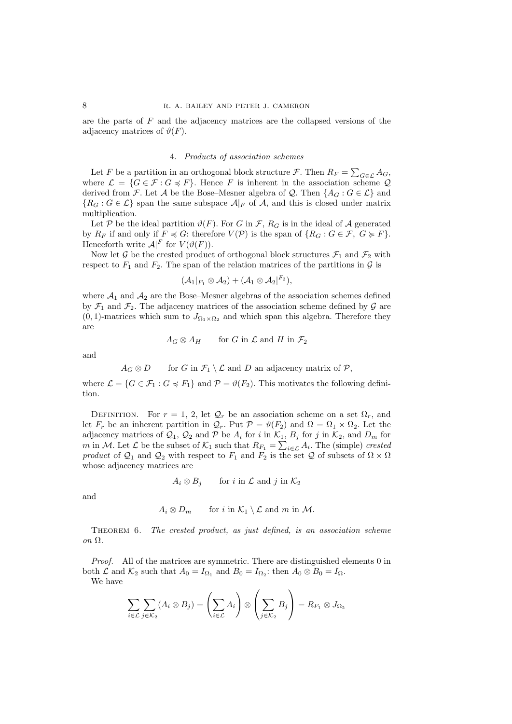are the parts of  $F$  and the adjacency matrices are the collapsed versions of the adjacency matrices of  $\vartheta(F)$ .

# 4. Products of association schemes

Let F be a partition in an orthogonal block structure F. Then  $R_F = \sum_{G \in \mathcal{L}} A_G$ , where  $\mathcal{L} = \{G \in \mathcal{F} : G \preccurlyeq F\}$ . Hence F is inherent in the association scheme Q derived from F. Let A be the Bose–Mesner algebra of Q. Then  $\{A_G : G \in \mathcal{L}\}\$ and  ${R_G : G \in \mathcal{L}}$  span the same subspace  $\mathcal{A}|_F$  of A, and this is closed under matrix multiplication.

Let P be the ideal partition  $\vartheta(F)$ . For G in F,  $R_G$  is in the ideal of A generated by  $R_F$  if and only if  $F \preccurlyeq G$ : therefore  $V(\mathcal{P})$  is the span of  $\{R_G : G \in \mathcal{F}, G \succcurlyeq F\}$ . Henceforth write  $\mathcal{A}|^F$  for  $V(\vartheta(F))$ .

Now let G be the crested product of orthogonal block structures  $\mathcal{F}_1$  and  $\mathcal{F}_2$  with respect to  $F_1$  and  $F_2$ . The span of the relation matrices of the partitions in  $\mathcal G$  is

$$
(\mathcal{A}_1|_{F_1}\otimes \mathcal{A}_2)+(\mathcal{A}_1\otimes \mathcal{A}_2|^{F_2}),
$$

where  $A_1$  and  $A_2$  are the Bose–Mesner algebras of the association schemes defined by  $\mathcal{F}_1$  and  $\mathcal{F}_2$ . The adjacency matrices of the association scheme defined by  $\mathcal G$  are  $(0, 1)$ -matrices which sum to  $J_{\Omega_1 \times \Omega_2}$  and which span this algebra. Therefore they are

$$
A_G\otimes A_H \qquad \text{for $G$ in $\mathcal{L}$ and $H$ in $\mathcal{F}_2$}
$$

and

 $A_G \otimes D$  for G in  $\mathcal{F}_1 \setminus \mathcal{L}$  and D an adjacency matrix of  $\mathcal{P},$ 

where  $\mathcal{L} = \{G \in \mathcal{F}_1 : G \preccurlyeq F_1\}$  and  $\mathcal{P} = \vartheta(F_2)$ . This motivates the following definition.

DEFINITION. For  $r = 1, 2$ , let  $\mathcal{Q}_r$  be an association scheme on a set  $\Omega_r$ , and let  $F_r$  be an inherent partition in  $\mathcal{Q}_r$ . Put  $\mathcal{P} = \vartheta(F_2)$  and  $\Omega = \Omega_1 \times \Omega_2$ . Let the adjacency matrices of  $\mathcal{Q}_1$ ,  $\mathcal{Q}_2$  and P be  $A_i$  for i in  $\mathcal{K}_1$ ,  $B_j$  for j in  $\mathcal{K}_2$ , and  $D_m$  for m in M. Let  $\mathcal L$  be the subset of  $\mathcal K_1$  such that  $R_{F_1} = \sum_{i \in \mathcal L} A_i$ . The (simple) crested product of  $Q_1$  and  $Q_2$  with respect to  $F_1$  and  $F_2$  is the set  $Q$  of subsets of  $\Omega \times \Omega$ whose adjacency matrices are

$$
A_i \otimes B_j \qquad \text{for } i \text{ in } \mathcal{L} \text{ and } j \text{ in } \mathcal{K}_2
$$

and

$$
A_i \otimes D_m \qquad \text{for } i \text{ in } \mathcal{K}_1 \setminus \mathcal{L} \text{ and } m \text{ in } \mathcal{M}.
$$

Theorem 6. The crested product, as just defined, is an association scheme on Ω.

Proof. All of the matrices are symmetric. There are distinguished elements 0 in both  $\mathcal L$  and  $\mathcal K_2$  such that  $A_0 = I_{\Omega_1}$  and  $B_0 = I_{\Omega_2}$ : then  $A_0 \otimes B_0 = I_{\Omega}$ .

We have

$$
\sum_{i \in \mathcal{L}} \sum_{j \in \mathcal{K}_2} (A_i \otimes B_j) = \left(\sum_{i \in \mathcal{L}} A_i\right) \otimes \left(\sum_{j \in \mathcal{K}_2} B_j\right) = R_{F_1} \otimes J_{\Omega_2}
$$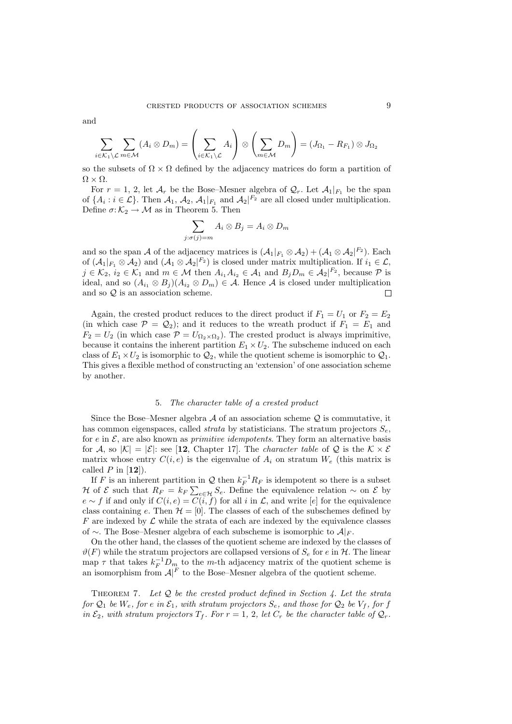and

$$
\sum_{i\in\mathcal{K}_1\setminus\mathcal{L}}\sum_{m\in\mathcal{M}}(A_i\otimes D_m)=\left(\sum_{i\in\mathcal{K}_1\setminus\mathcal{L}}A_i\right)\otimes\left(\sum_{m\in\mathcal{M}}D_m\right)=(J_{\Omega_1}-R_{F_1})\otimes J_{\Omega_2}
$$

so the subsets of  $\Omega \times \Omega$  defined by the adjacency matrices do form a partition of  $\Omega \times \Omega$ .

For  $r = 1, 2$ , let  $\mathcal{A}_r$  be the Bose–Mesner algebra of  $\mathcal{Q}_r$ . Let  $\mathcal{A}_1|_{F_1}$  be the span of  $\{A_i : i \in \mathcal{L}\}\$ . Then  $\mathcal{A}_1$ ,  $\mathcal{A}_2$ ,  $\mathcal{A}_1|_{F_1}$  and  $\mathcal{A}_2|^{F_2}$  are all closed under multiplication. Define  $\sigma: \mathcal{K}_2 \to \mathcal{M}$  as in Theorem 5. Then

$$
\sum_{j:\sigma(j)=m} A_i \otimes B_j = A_i \otimes D_m
$$

and so the span A of the adjacency matrices is  $(\mathcal{A}_1|_{F_1} \otimes \mathcal{A}_2) + (\mathcal{A}_1 \otimes \mathcal{A}_2|^{F_2})$ . Each of  $(\mathcal{A}_1|_{F_1} \otimes \mathcal{A}_2)$  and  $(\mathcal{A}_1 \otimes \mathcal{A}_2|^{F_2})$  is closed under matrix multiplication. If  $i_1 \in \mathcal{L}$ ,  $j \in \mathcal{K}_2$ ,  $i_2 \in \mathcal{K}_1$  and  $m \in \mathcal{M}$  then  $A_{i_1} A_{i_2} \in \mathcal{A}_1$  and  $B_j D_m \in \mathcal{A}_2 \vert^{F_2}$ , because  $\mathcal{P}$  is ideal, and so  $(A_{i_1} \otimes B_i)(A_{i_2} \otimes D_m) \in \mathcal{A}$ . Hence A is closed under multiplication and so Q is an association scheme.  $\Box$ 

Again, the crested product reduces to the direct product if  $F_1 = U_1$  or  $F_2 = E_2$ (in which case  $\mathcal{P} = \mathcal{Q}_2$ ); and it reduces to the wreath product if  $F_1 = E_1$  and  $F_2 = U_2$  (in which case  $\mathcal{P} = U_{\Omega_2 \times \Omega_2}$ ). The crested product is always imprimitive, because it contains the inherent partition  $E_1 \times U_2$ . The subscheme induced on each class of  $E_1 \times U_2$  is isomorphic to  $\mathcal{Q}_2$ , while the quotient scheme is isomorphic to  $\mathcal{Q}_1$ . This gives a flexible method of constructing an 'extension' of one association scheme by another.

### 5. The character table of a crested product

Since the Bose–Mesner algebra  $A$  of an association scheme  $Q$  is commutative, it has common eigenspaces, called *strata* by statisticians. The stratum projectors  $S_e$ , for e in  $\mathcal{E}$ , are also known as *primitive idempotents*. They form an alternative basis for A, so  $|\mathcal{K}| = |\mathcal{E}|$ : see [12, Chapter 17]. The *character table* of Q is the  $\mathcal{K} \times \mathcal{E}$ matrix whose entry  $C(i, e)$  is the eigenvalue of  $A_i$  on stratum  $W_e$  (this matrix is called  $P$  in  $[12]$ ).

If F is an inherent partition in Q then  $k_F^{-1}R_F$  is idempotent so there is a subset H of  $\mathcal E$  such that  $R_F = k_F \sum_{e \in \mathcal H} S_e$ . Define the equivalence relation  $\sim$  on  $\mathcal E$  by  $e \sim f$  if and only if  $C(i, e) = \overline{C(i, f)}$  for all i in  $\mathcal{L}$ , and write [e] for the equivalence class containing e. Then  $\mathcal{H} = [0]$ . The classes of each of the subschemes defined by  $F$  are indexed by  $\mathcal L$  while the strata of each are indexed by the equivalence classes of ∼. The Bose–Mesner algebra of each subscheme is isomorphic to  $\mathcal{A}|_F$ .

On the other hand, the classes of the quotient scheme are indexed by the classes of  $\vartheta(F)$  while the stratum projectors are collapsed versions of  $S_e$  for e in H. The linear map  $\tau$  that takes  $k_F^{-1}D_m$  to the m-th adjacency matrix of the quotient scheme is an isomorphism from  $A|^F$  to the Bose–Mesner algebra of the quotient scheme.

THEOREM 7. Let  $Q$  be the crested product defined in Section 4. Let the strata for  $\mathcal{Q}_1$  be  $W_e$ , for e in  $\mathcal{E}_1$ , with stratum projectors  $S_e$ , and those for  $\mathcal{Q}_2$  be  $V_f$ , for f in  $\mathcal{E}_2$ , with stratum projectors  $T_f$ . For  $r = 1, 2$ , let  $C_r$  be the character table of  $\mathcal{Q}_r$ .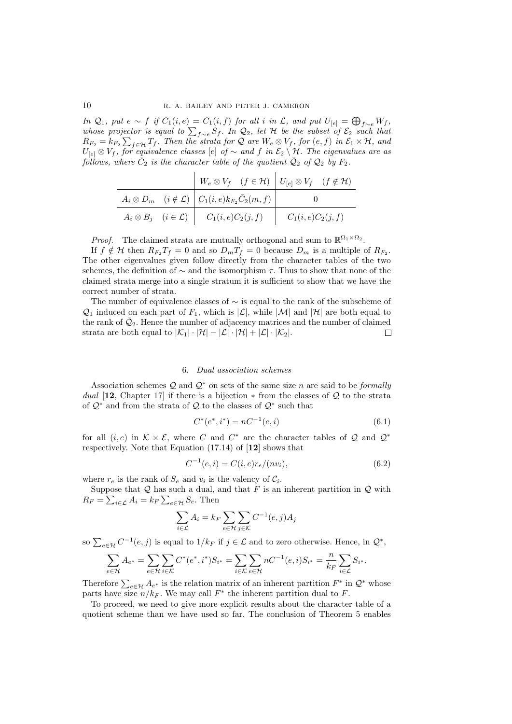In  $\mathcal{Q}_1$ , put  $e \sim f$  if  $C_1(i, e) = C_1(i, f)$  for all i in  $\mathcal{L}$ , and put  $U_{[e]} = \bigoplus_{f \sim e} W_f$ , whose projector is equal to  $\sum_{f\sim e} S_f$ . In  $\mathcal{Q}_2$ , let  $\mathcal H$  be the subset of  $\mathcal{E}_2$  such that  $R_{F_2} = k_{F_2} \sum_{f \in \mathcal{H}} T_f$ . Then the strata for Q are  $W_e \otimes V_f$ , for  $(e, f)$  in  $\mathcal{E}_1 \times \mathcal{H}$ , and  $U_{[e]} \otimes V_f$ , for equivalence classes [e] of  $\sim$  and f in  $\mathcal{E}_2 \setminus \mathcal{H}$ . The eigenvalues are as follows, where  $\bar{C}_2$  is the character table of the quotient  $\bar{\mathcal{Q}}_2$  of  $\mathcal{Q}_2$  by  $F_2$ .

|  | $W_e \otimes V_f$ $(f \in \mathcal{H})$ $U_{[e]} \otimes V_f$ $(f \notin \mathcal{H})$ |  |
|--|----------------------------------------------------------------------------------------|--|
|  | $A_i \otimes D_m$ $(i \notin \mathcal{L})$ $C_1(i, e)k_{F_2}\bar{C}_2(m, f)$           |  |
|  | $A_i \otimes B_j$ $(i \in \mathcal{L})$ $C_1(i, e)C_2(j, f)$ $C_1(i, e)C_2(j, f)$      |  |

*Proof.* The claimed strata are mutually orthogonal and sum to  $\mathbb{R}^{\Omega_1 \times \Omega_2}$ .

If  $f \notin \mathcal{H}$  then  $R_{F_2}T_f = 0$  and so  $D_mT_f = 0$  because  $D_m$  is a multiple of  $R_{F_2}$ . The other eigenvalues given follow directly from the character tables of the two schemes, the definition of  $\sim$  and the isomorphism  $\tau$ . Thus to show that none of the claimed strata merge into a single stratum it is sufficient to show that we have the correct number of strata.

The number of equivalence classes of  $\sim$  is equal to the rank of the subscheme of  $\mathcal{Q}_1$  induced on each part of  $F_1$ , which is  $|\mathcal{L}|$ , while  $|\mathcal{M}|$  and  $|\mathcal{H}|$  are both equal to the rank of  $\bar{Q}_2$ . Hence the number of adjacency matrices and the number of claimed strata are both equal to  $|\mathcal{K}_1| \cdot |\mathcal{H}| - |\mathcal{L}| \cdot |\mathcal{H}| + |\mathcal{L}| \cdot |\mathcal{K}_2|$ .  $\Box$ 

### 6. Dual association schemes

Association schemes  $\mathcal{Q}$  and  $\mathcal{Q}^*$  on sets of the same size n are said to be formally dual [12, Chapter 17] if there is a bijection  $*$  from the classes of Q to the strata of  $\mathcal{Q}^*$  and from the strata of  $\mathcal Q$  to the classes of  $\mathcal{Q}^*$  such that

$$
C^*(e^*, i^*) = nC^{-1}(e, i)
$$
\n(6.1)

for all  $(i, e)$  in  $K \times \mathcal{E}$ , where C and  $C^*$  are the character tables of Q and  $\mathcal{Q}^*$ respectively. Note that Equation (17.14) of [12] shows that

$$
C^{-1}(e,i) = C(i,e)r_e/(nv_i),
$$
\n(6.2)

where  $r_e$  is the rank of  $S_e$  and  $v_i$  is the valency of  $C_i$ .

Suppose that  $Q$  has such a dual, and that  $F$  is an inherent partition in  $Q$  with  $R_F = \sum_{i \in \mathcal{L}} A_i = k_F \sum_{e \in \mathcal{H}} S_e$ . Then

$$
\sum_{i \in \mathcal{L}} A_i = k \sum_{e \in \mathcal{H}} \sum_{j \in \mathcal{K}} C^{-1}(e, j) A_j
$$

so  $\sum_{e \in \mathcal{H}} C^{-1}(e, j)$  is equal to  $1/k_F$  if  $j \in \mathcal{L}$  and to zero otherwise. Hence, in  $\mathcal{Q}^*$ ,

$$
\sum_{e \in \mathcal{H}} A_{e^*} = \sum_{e \in \mathcal{H}} \sum_{i \in \mathcal{K}} C^*(e^*, i^*) S_{i^*} = \sum_{i \in \mathcal{K}} \sum_{e \in \mathcal{H}} n C^{-1}(e, i) S_{i^*} = \frac{n}{k_F} \sum_{i \in \mathcal{L}} S_{i^*}.
$$

Therefore  $\sum_{e \in \mathcal{H}} A_{e^*}$  is the relation matrix of an inherent partition  $F^*$  in  $\mathcal{Q}^*$  whose parts have size  $n/k_F$ . We may call  $F^*$  the inherent partition dual to F.

To proceed, we need to give more explicit results about the character table of a quotient scheme than we have used so far. The conclusion of Theorem 5 enables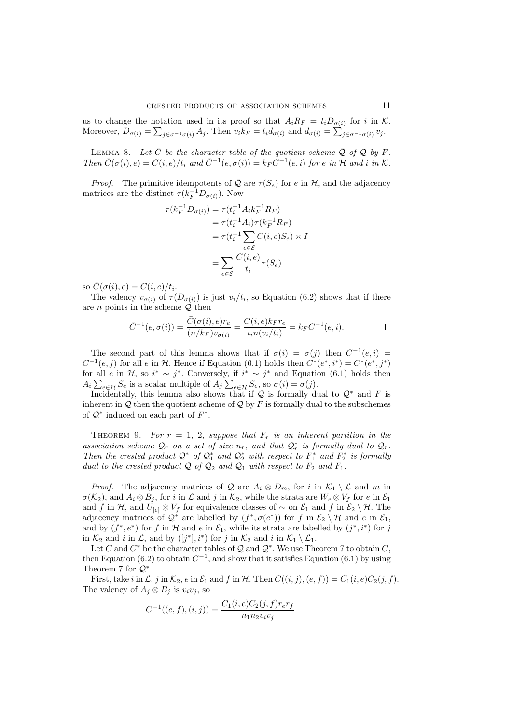us to change the notation used in its proof so that  $A_i R_F = t_i D_{\sigma(i)}$  for i in K. Moreover,  $D_{\sigma(i)} = \sum_{j \in \sigma^{-1}(\sigma(i))} A_j$ . Then  $v_i k_F = t_i d_{\sigma(i)}$  and  $d_{\sigma(i)} = \sum_{j \in \sigma^{-1}(\sigma(i))} v_j$ .

LEMMA 8. Let  $\overline{C}$  be the character table of the quotient scheme  $\overline{Q}$  of  $Q$  by F. Then  $\overline{C}(\sigma(i),e) = C(i,e)/t_i$  and  $\overline{C}^{-1}(e,\sigma(i)) = k_F \overline{C}^{-1}(e,i)$  for e in H and i in K.

*Proof.* The primitive idempotents of  $\overline{Q}$  are  $\tau(S_e)$  for e in  $H$ , and the adjacency matrices are the distinct  $\tau(k_F^{-1}D_{\sigma(i)})$ . Now

$$
\tau(k_F^{-1}D_{\sigma(i)}) = \tau(t_i^{-1}A_ik_F^{-1}R_F)
$$
  
=  $\tau(t_i^{-1}A_i)\tau(k_F^{-1}R_F)$   
=  $\tau(t_i^{-1}\sum_{e \in \mathcal{E}} C(i,e)S_e) \times I$   
=  $\sum_{e \in \mathcal{E}} \frac{C(i,e)}{t_i}\tau(S_e)$ 

so  $\overline{C}(\sigma(i), e) = C(i, e)/t_i$ .

The valency  $v_{\sigma(i)}$  of  $\tau(D_{\sigma(i)})$  is just  $v_i/t_i$ , so Equation (6.2) shows that if there are  $n$  points in the scheme  $Q$  then

$$
\bar{C}^{-1}(e, \sigma(i)) = \frac{\bar{C}(\sigma(i), e)r_e}{(n/k_F)v_{\sigma(i)}} = \frac{C(i, e)k_Fr_e}{t_in(v_i/t_i)} = k_F C^{-1}(e, i).
$$

The second part of this lemma shows that if  $\sigma(i) = \sigma(j)$  then  $C^{-1}(e, i) =$  $C^{-1}(e, j)$  for all e in H. Hence if Equation (6.1) holds then  $C^*(e^*, i^*) = C^*(e^*, j^*)$ for all e in  $\mathcal{H}$ , so  $i^* \sim j^*$ . Conversely, if  $i^* \sim j^*$  and Equation (6.1) holds then  $A_i \sum_{e \in \mathcal{H}} S_e$  is a scalar multiple of  $A_j \sum_{e \in \mathcal{H}} S_e$ , so  $\sigma(i) = \sigma(j)$ .

Incidentally, this lemma also shows that if  $Q$  is formally dual to  $Q^*$  and F is inherent in  $\mathcal Q$  then the quotient scheme of  $\mathcal Q$  by F is formally dual to the subschemes of  $\mathcal{Q}^*$  induced on each part of  $F^*$ .

THEOREM 9. For  $r = 1, 2$ , suppose that  $F_r$  is an inherent partition in the association scheme  $\mathcal{Q}_r$  on a set of size  $n_r$ , and that  $\mathcal{Q}_r^*$  is formally dual to  $\mathcal{Q}_r$ . Then the crested product  $\mathcal{Q}^*$  of  $\mathcal{Q}_1^*$  and  $\mathcal{Q}_2^*$  with respect to  $F_1^*$  and  $F_2^*$  is formally dual to the crested product  $Q$  of  $Q_2$  and  $Q_1$  with respect to  $F_2$  and  $F_1$ .

*Proof.* The adjacency matrices of Q are  $A_i \otimes D_m$ , for i in  $\mathcal{K}_1 \setminus \mathcal{L}$  and m in  $\sigma(\mathcal{K}_2)$ , and  $A_i \otimes B_j$ , for i in  $\mathcal L$  and j in  $\mathcal{K}_2$ , while the strata are  $W_e \otimes V_f$  for e in  $\mathcal{E}_1$ and f in H, and  $U_{[e]} \otimes V_f$  for equivalence classes of  $\sim$  on  $\mathcal{E}_1$  and f in  $\mathcal{E}_2 \setminus \mathcal{H}$ . The adjacency matrices of  $\mathcal{Q}^*$  are labelled by  $(f^*, \sigma(e^*))$  for f in  $\mathcal{E}_2 \setminus \mathcal{H}$  and e in  $\mathcal{E}_1$ , and by  $(f^*, e^*)$  for f in H and e in  $\mathcal{E}_1$ , while its strata are labelled by  $(j^*, i^*)$  for j in  $\mathcal{K}_2$  and i in  $\mathcal{L}$ , and by  $([j^*], i^*)$  for j in  $\mathcal{K}_2$  and i in  $\mathcal{K}_1 \setminus \mathcal{L}_1$ .

Let C and  $C^*$  be the character tables of Q and  $\mathcal{Q}^*$ . We use Theorem 7 to obtain C, then Equation (6.2) to obtain  $C^{-1}$ , and show that it satisfies Equation (6.1) by using Theorem 7 for  $Q^*$ .

First, take i in  $\mathcal{L}, j$  in  $\mathcal{K}_2, e$  in  $\mathcal{E}_1$  and f in H. Then  $C((i, j), (e, f)) = C_1(i, e)C_2(j, f)$ . The valency of  $A_j \otimes B_j$  is  $v_i v_j$ , so

$$
C^{-1}((e, f), (i, j)) = \frac{C_1(i, e)C_2(j, f)r_e r_f}{n_1 n_2 v_i v_j}
$$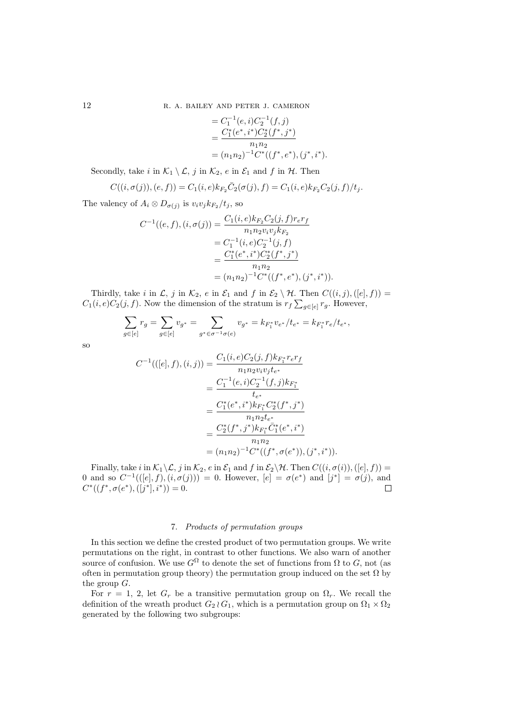12 R. A. BAILEY AND PETER J. CAMERON

$$
= C_1^{-1}(e, i)C_2^{-1}(f, j)
$$
  
= 
$$
\frac{C_1^*(e^*, i^*)C_2^*(f^*, j^*)}{n_1 n_2}
$$
  
= 
$$
(n_1 n_2)^{-1} C^*((f^*, e^*), (j^*, i^*).
$$

Secondly, take i in  $\mathcal{K}_1 \setminus \mathcal{L}$ , j in  $\mathcal{K}_2$ , e in  $\mathcal{E}_1$  and f in  $\mathcal{H}$ . Then

$$
C((i, \sigma(j)), (e, f)) = C_1(i, e)k_{F_2}\bar{C}_2(\sigma(j), f) = C_1(i, e)k_{F_2}C_2(j, f)/t_j.
$$

The valency of  $A_i \otimes D_{\sigma(j)}$  is  $v_i v_j k_{F_2}/t_j$ , so

$$
C^{-1}((e, f), (i, \sigma(j))) = \frac{C_1(i, e)k_{F_2}C_2(j, f)r_{e}r_f}{n_1n_2v_iv_jk_{F_2}}
$$
  
=  $C_1^{-1}(i, e)C_2^{-1}(j, f)$   
=  $\frac{C_1^*(e^*, i^*)C_2^*(f^*, j^*)}{n_1n_2}$   
=  $(n_1n_2)^{-1}C^*((f^*, e^*), (j^*, i^*)).$ 

Thirdly, take i in  $\mathcal{L}, j$  in  $\mathcal{K}_2$ , e in  $\mathcal{E}_1$  and f in  $\mathcal{E}_2 \setminus \mathcal{H}$ . Then  $C((i, j), ([e], f)) =$  $C_1(i, e)C_2(j, f)$ . Now the dimension of the stratum is  $r_f\sum_{g\in [e]} r_g$ . However,

$$
\sum_{g\in [e]} r_g = \sum_{g\in [e]} v_{g^*} = \sum_{g^*\in \sigma^{-1}\sigma(e)} v_{g^*} = k_{F_1^*}v_{e^*}/t_{e^*} = k_{F_1^*}r_e/t_{e^*},
$$

so

$$
C^{-1}(([e], f), (i, j)) = \frac{C_1(i, e)C_2(j, f)k_{F_1^*}r_e r_f}{n_1 n_2 v_i v_j t_{e^*}}
$$
  
= 
$$
\frac{C_1^{-1}(e, i)C_2^{-1}(f, j)k_{F_1^*}}{t_{e^*}}
$$
  
= 
$$
\frac{C_1^*(e^*, i^*)k_{F_1^*}C_2^*(f^*, j^*)}{n_1 n_2 t_{e^*}}
$$
  
= 
$$
\frac{C_2^*(f^*, j^*)k_{F_1^*}\bar{C}_1^*(e^*, i^*)}{n_1 n_2}
$$
  
= 
$$
(n_1 n_2)^{-1}C^*((f^*, \sigma(e^*)), (j^*, i^*)).
$$

Finally, take i in  $\mathcal{K}_1 \backslash \mathcal{L}$ , j in  $\mathcal{K}_2$ , e in  $\mathcal{E}_1$  and f in  $\mathcal{E}_2 \backslash \mathcal{H}$ . Then  $C((i, \sigma(i)),([e], f)) =$ 0 and so  $C^{-1}(([e], f), (i, \sigma(j))) = 0$ . However,  $[e] = \sigma(e^*)$  and  $[j^*] = \sigma(j)$ , and  $C^*((f^*, \sigma(e^*), (\lfloor j^* \rfloor, i^*)) = 0.$  $\Box$ 

# 7. Products of permutation groups

In this section we define the crested product of two permutation groups. We write permutations on the right, in contrast to other functions. We also warn of another source of confusion. We use  $G^{\Omega}$  to denote the set of functions from  $\Omega$  to  $G$ , not (as often in permutation group theory) the permutation group induced on the set  $\Omega$  by the group G.

For  $r = 1, 2$ , let  $G_r$  be a transitive permutation group on  $\Omega_r$ . We recall the definition of the wreath product  $G_2 \wr G_1$ , which is a permutation group on  $\Omega_1 \times \Omega_2$ generated by the following two subgroups: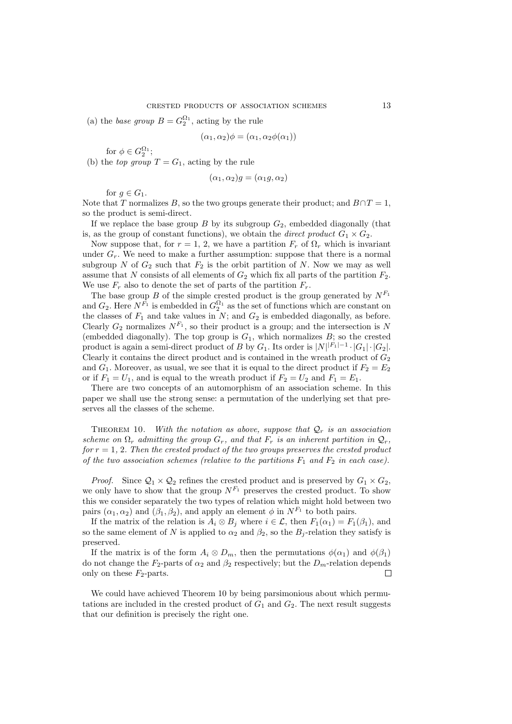(a) the base group  $B = G_2^{\Omega_1}$ , acting by the rule

$$
(\alpha_1, \alpha_2)\phi = (\alpha_1, \alpha_2\phi(\alpha_1))
$$

for  $\phi \in G_2^{\Omega_1};$ (b) the top group  $T = G_1$ , acting by the rule

$$
(\alpha_1, \alpha_2)g = (\alpha_1 g, \alpha_2)
$$

for  $q \in G_1$ .

Note that T normalizes B, so the two groups generate their product; and  $B \cap T = 1$ , so the product is semi-direct.

If we replace the base group  $B$  by its subgroup  $G_2$ , embedded diagonally (that is, as the group of constant functions), we obtain the *direct product*  $G_1 \times G_2$ .

Now suppose that, for  $r = 1, 2$ , we have a partition  $F_r$  of  $\Omega_r$  which is invariant under  $G_r$ . We need to make a further assumption: suppose that there is a normal subgroup N of  $G_2$  such that  $F_2$  is the orbit partition of N. Now we may as well assume that N consists of all elements of  $G_2$  which fix all parts of the partition  $F_2$ . We use  $F_r$  also to denote the set of parts of the partition  $F_r$ .

The base group B of the simple crested product is the group generated by  $N^{F_1}$ and  $G_2$ . Here  $N^{F_1}$  is embedded in  $G_2^{\Omega_1}$  as the set of functions which are constant on the classes of  $F_1$  and take values in  $N$ ; and  $G_2$  is embedded diagonally, as before. Clearly  $G_2$  normalizes  $N^{F_1}$ , so their product is a group; and the intersection is N (embedded diagonally). The top group is  $G_1$ , which normalizes  $B$ ; so the crested product is again a semi-direct product of B by  $G_1$ . Its order is  $|N|^{|F_1|-1} \cdot |G_1| \cdot |G_2|$ . Clearly it contains the direct product and is contained in the wreath product of  $G_2$ and  $G_1$ . Moreover, as usual, we see that it is equal to the direct product if  $F_2 = E_2$ or if  $F_1 = U_1$ , and is equal to the wreath product if  $F_2 = U_2$  and  $F_1 = E_1$ .

There are two concepts of an automorphism of an association scheme. In this paper we shall use the strong sense: a permutation of the underlying set that preserves all the classes of the scheme.

THEOREM 10. With the notation as above, suppose that  $\mathcal{Q}_r$  is an association scheme on  $\Omega_r$  admitting the group  $G_r$ , and that  $F_r$  is an inherent partition in  $\mathcal{Q}_r$ , for  $r = 1, 2$ . Then the crested product of the two groups preserves the crested product of the two association schemes (relative to the partitions  $F_1$  and  $F_2$  in each case).

*Proof.* Since  $Q_1 \times Q_2$  refines the crested product and is preserved by  $G_1 \times G_2$ , we only have to show that the group  $N^{F_1}$  preserves the crested product. To show this we consider separately the two types of relation which might hold between two pairs  $(\alpha_1, \alpha_2)$  and  $(\beta_1, \beta_2)$ , and apply an element  $\phi$  in  $N^{F_1}$  to both pairs.

If the matrix of the relation is  $A_i \otimes B_j$  where  $i \in \mathcal{L}$ , then  $F_1(\alpha_1) = F_1(\beta_1)$ , and so the same element of N is applied to  $\alpha_2$  and  $\beta_2$ , so the  $B_i$ -relation they satisfy is preserved.

If the matrix is of the form  $A_i \otimes D_m$ , then the permutations  $\phi(\alpha_1)$  and  $\phi(\beta_1)$ do not change the  $F_2$ -parts of  $\alpha_2$  and  $\beta_2$  respectively; but the  $D_m$ -relation depends only on these  $F_2$ -parts.  $\Box$ 

We could have achieved Theorem 10 by being parsimonious about which permutations are included in the crested product of  $G_1$  and  $G_2$ . The next result suggests that our definition is precisely the right one.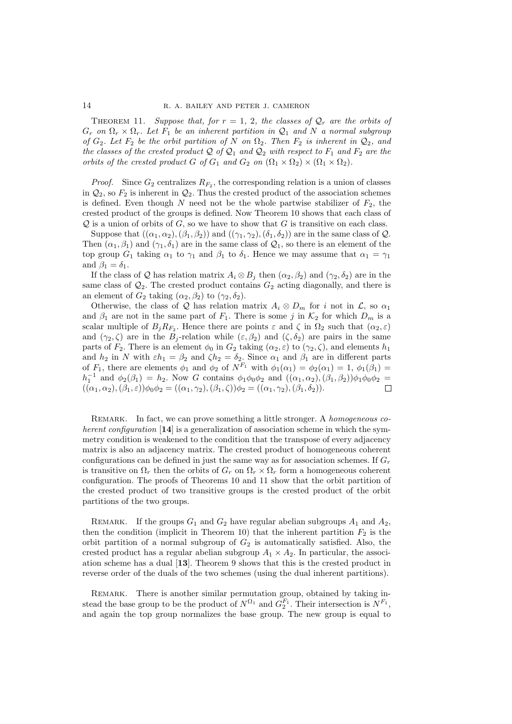THEOREM 11. Suppose that, for  $r = 1, 2$ , the classes of  $\mathcal{Q}_r$  are the orbits of  $G_r$  on  $\Omega_r \times \Omega_r$ . Let  $F_1$  be an inherent partition in  $\mathcal{Q}_1$  and N a normal subgroup of  $G_2$ . Let  $F_2$  be the orbit partition of N on  $\Omega_2$ . Then  $F_2$  is inherent in  $\mathcal{Q}_2$ , and the classes of the crested product  $Q$  of  $Q_1$  and  $Q_2$  with respect to  $F_1$  and  $F_2$  are the orbits of the crested product G of  $G_1$  and  $G_2$  on  $(\Omega_1 \times \Omega_2) \times (\Omega_1 \times \Omega_2)$ .

*Proof.* Since  $G_2$  centralizes  $R_{F_2}$ , the corresponding relation is a union of classes in  $\mathcal{Q}_2$ , so  $F_2$  is inherent in  $\mathcal{Q}_2$ . Thus the crested product of the association schemes is defined. Even though N need not be the whole partwise stabilizer of  $F_2$ , the crested product of the groups is defined. Now Theorem 10 shows that each class of  $Q$  is a union of orbits of  $G$ , so we have to show that  $G$  is transitive on each class.

Suppose that  $((\alpha_1, \alpha_2),(\beta_1, \beta_2))$  and  $((\gamma_1, \gamma_2),(\delta_1, \delta_2))$  are in the same class of  $Q$ . Then  $(\alpha_1, \beta_1)$  and  $(\gamma_1, \delta_1)$  are in the same class of  $\mathcal{Q}_1$ , so there is an element of the top group  $G_1$  taking  $\alpha_1$  to  $\gamma_1$  and  $\beta_1$  to  $\delta_1$ . Hence we may assume that  $\alpha_1 = \gamma_1$ and  $\beta_1 = \delta_1$ .

If the class of Q has relation matrix  $A_i \otimes B_j$  then  $(\alpha_2, \beta_2)$  and  $(\gamma_2, \delta_2)$  are in the same class of  $\mathcal{Q}_2$ . The crested product contains  $G_2$  acting diagonally, and there is an element of  $G_2$  taking  $(\alpha_2, \beta_2)$  to  $(\gamma_2, \delta_2)$ .

Otherwise, the class of Q has relation matrix  $A_i \otimes D_m$  for i not in  $\mathcal{L}$ , so  $\alpha_1$ and  $\beta_1$  are not in the same part of  $F_1$ . There is some j in  $\mathcal{K}_2$  for which  $D_m$  is a scalar multiple of  $B_j R_{F_2}$ . Hence there are points  $\varepsilon$  and  $\zeta$  in  $\Omega_2$  such that  $(\alpha_2, \varepsilon)$ and  $(\gamma_2, \zeta)$  are in the  $B_j$ -relation while  $(\varepsilon, \beta_2)$  and  $(\zeta, \delta_2)$  are pairs in the same parts of  $F_2$ . There is an element  $\phi_0$  in  $G_2$  taking  $(\alpha_2, \varepsilon)$  to  $(\gamma_2, \zeta)$ , and elements  $h_1$ and  $h_2$  in N with  $\varepsilon h_1 = \beta_2$  and  $\zeta h_2 = \delta_2$ . Since  $\alpha_1$  and  $\beta_1$  are in different parts of  $F_1$ , there are elements  $\phi_1$  and  $\phi_2$  of  $N^{F_1}$  with  $\phi_1(\alpha_1) = \phi_2(\alpha_1) = 1$ ,  $\phi_1(\beta_1) =$  $h_1^{-1}$  and  $\phi_2(\beta_1) = h_2$ . Now G contains  $\phi_1 \phi_0 \phi_2$  and  $((\alpha_1, \alpha_2), (\beta_1, \beta_2))\phi_1 \phi_0 \phi_2 =$  $((\alpha_1, \alpha_2),(\beta_1, \varepsilon))\phi_0\phi_2 = ((\alpha_1, \gamma_2),(\beta_1, \zeta))\phi_2 = ((\alpha_1, \gamma_2),(\beta_1, \delta_2)).$  $\Box$ 

REMARK. In fact, we can prove something a little stronger. A homogeneous coherent configuration  $[14]$  is a generalization of association scheme in which the symmetry condition is weakened to the condition that the transpose of every adjacency matrix is also an adjacency matrix. The crested product of homogeneous coherent configurations can be defined in just the same way as for association schemes. If  $G_r$ is transitive on  $\Omega_r$  then the orbits of  $G_r$  on  $\Omega_r \times \Omega_r$  form a homogeneous coherent configuration. The proofs of Theorems 10 and 11 show that the orbit partition of the crested product of two transitive groups is the crested product of the orbit partitions of the two groups.

REMARK. If the groups  $G_1$  and  $G_2$  have regular abelian subgroups  $A_1$  and  $A_2$ , then the condition (implicit in Theorem 10) that the inherent partition  $F_2$  is the orbit partition of a normal subgroup of  $G_2$  is automatically satisfied. Also, the crested product has a regular abelian subgroup  $A_1 \times A_2$ . In particular, the association scheme has a dual [13]. Theorem 9 shows that this is the crested product in reverse order of the duals of the two schemes (using the dual inherent partitions).

REMARK. There is another similar permutation group, obtained by taking instead the base group to be the product of  $N^{\Omega_1}$  and  $G_2^{F_1}$ . Their intersection is  $N^{F_1}$ , and again the top group normalizes the base group. The new group is equal to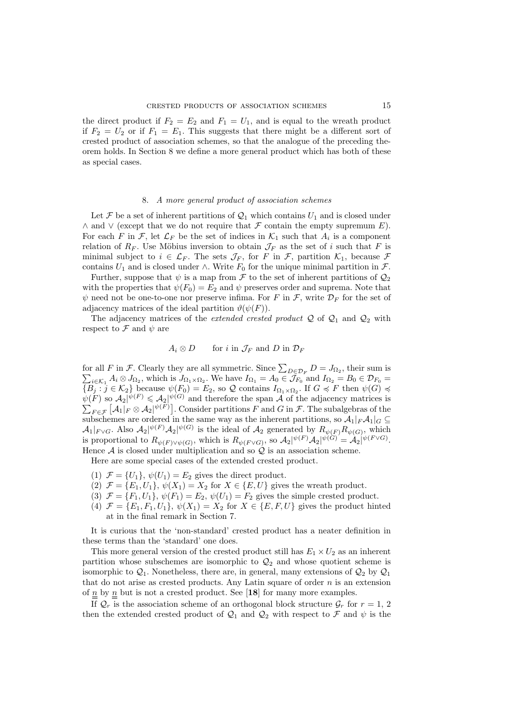the direct product if  $F_2 = E_2$  and  $F_1 = U_1$ , and is equal to the wreath product if  $F_2 = U_2$  or if  $F_1 = E_1$ . This suggests that there might be a different sort of crested product of association schemes, so that the analogue of the preceding theorem holds. In Section 8 we define a more general product which has both of these as special cases.

### 8. A more general product of association schemes

Let  $\mathcal F$  be a set of inherent partitions of  $\mathcal Q_1$  which contains  $U_1$  and is closed under ∧ and  $\vee$  (except that we do not require that  $\mathcal F$  contain the empty supremum  $E$ ). For each F in F, let  $\mathcal{L}_F$  be the set of indices in  $\mathcal{K}_1$  such that  $A_i$  is a component relation of  $R_F$ . Use Möbius inversion to obtain  $\mathcal{J}_F$  as the set of i such that F is minimal subject to  $i \in \mathcal{L}_F$ . The sets  $\mathcal{J}_F$ , for F in F, partition  $\mathcal{K}_1$ , because F contains  $U_1$  and is closed under  $\wedge$ . Write  $F_0$  for the unique minimal partition in  $\mathcal{F}$ .

Further, suppose that  $\psi$  is a map from  $\mathcal F$  to the set of inherent partitions of  $\mathcal Q_2$ with the properties that  $\psi(F_0) = E_2$  and  $\psi$  preserves order and suprema. Note that  $\psi$  need not be one-to-one nor preserve infima. For F in F, write  $\mathcal{D}_F$  for the set of adjacency matrices of the ideal partition  $\vartheta(\psi(F))$ .

The adjacency matrices of the *extended crested product*  $Q$  of  $Q_1$  and  $Q_2$  with respect to  $\mathcal F$  and  $\psi$  are

# $A_i \otimes D$  for i in  $\mathcal{J}_F$  and D in  $\mathcal{D}_F$

for all F in F. Clearly they are all symmetric. Since  $\sum_{D \in \mathcal{D}_F} D = J_{\Omega_2}$ , their sum is for all F in F. Clearly they are all symmetric. Since  $\sum_{D \in \mathcal{D}_F} D = J_{\Omega_2}$ , their sum is  $\sum_{i \in \mathcal{K}_1} A_i \otimes J_{\Omega_2}$ , which is  $J_{\Omega_1 \times \Omega_2}$ . We have  $I_{\Omega_1} = A_0 \in \mathcal{J}_{F_0}$  and  $I_{\Omega_2} = B_0 \in \mathcal{D}_{F_0}$  ${B_j : j \in \mathcal{K}_2}$  because  $\psi(F_0) = E_2$ , so Q contains  $I_{\Omega_1 \times \Omega_2}$ . If  $G \preccurlyeq F$  then  $\psi(G) \preccurlyeq$  $\psi(F)$  so  $\mathcal{A}_2 | \psi(F) \leq \mathcal{A}_2 | \psi(G)$  and therefore the span A of the adjacency matrices is  $\sum_{F \in \mathcal{F}} [\mathcal{A}_1|_F \otimes \mathcal{A}_2]^{\psi(F)}$ . Consider partitions F and G in F. The subalgebras of the subschemes are ordered in the same way as the inherent partitions, so  $\mathcal{A}_1|_F\mathcal{A}_1|_G \subseteq$  $\mathcal{A}_1|_{F \vee G}$ . Also  $\mathcal{A}_2|\psi(F) \mathcal{A}_2|\psi(G)$  is the ideal of  $\mathcal{A}_2$  generated by  $R_{\psi(F)}R_{\psi(G)}$ , which is proportional to  $R_{\psi(F)\vee \psi(G)}$ , which is  $R_{\psi(F\vee G)}$ , so  $\mathcal{A}_2\vert \psi(F)\mathcal{A}_2\vert \psi(G)\vert = \mathcal{A}_2\vert \psi(F\vee G)\vert$ . Hence  $A$  is closed under multiplication and so  $Q$  is an association scheme.

Here are some special cases of the extended crested product.

- (1)  $\mathcal{F} = \{U_1\}, \psi(U_1) = E_2$  gives the direct product.
- (2)  $\mathcal{F} = \{E_1, U_1\}, \psi(X_1) = X_2$  for  $X \in \{E, U\}$  gives the wreath product.
- (3)  $\mathcal{F} = \{F_1, U_1\}, \psi(F_1) = E_2, \psi(U_1) = F_2$  gives the simple crested product.
- (4)  $\mathcal{F} = \{E_1, F_1, U_1\}, \psi(X_1) = X_2$  for  $X \in \{E, F, U\}$  gives the product hinted at in the final remark in Section 7.

It is curious that the 'non-standard' crested product has a neater definition in these terms than the 'standard' one does.

This more general version of the crested product still has  $E_1 \times U_2$  as an inherent partition whose subschemes are isomorphic to  $\mathcal{Q}_2$  and whose quotient scheme is isomorphic to  $\mathcal{Q}_1$ . Nonetheless, there are, in general, many extensions of  $\mathcal{Q}_2$  by  $\mathcal{Q}_1$ that do not arise as crested products. Any Latin square of order  $n$  is an extension of  $\underline{n}$  by  $\underline{n}$  but is not a crested product. See [18] for many more examples.

If  $\mathcal{Q}_r$  is the association scheme of an orthogonal block structure  $\mathcal{G}_r$  for  $r = 1, 2$ then the extended crested product of  $\mathcal{Q}_1$  and  $\mathcal{Q}_2$  with respect to  $\mathcal F$  and  $\psi$  is the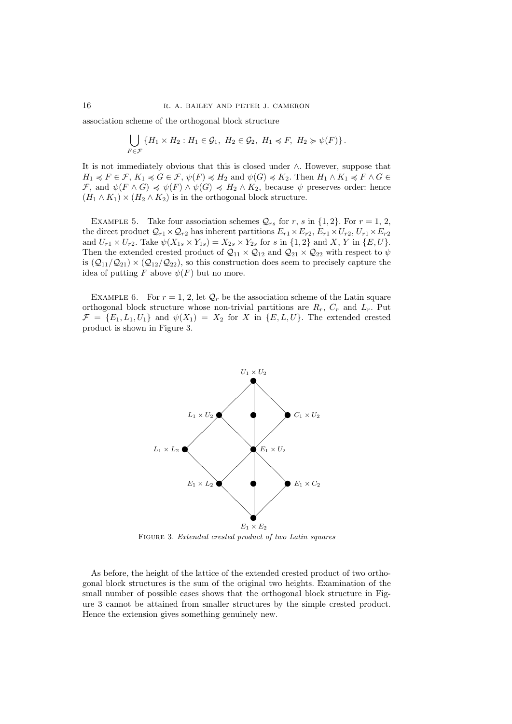association scheme of the orthogonal block structure

$$
\bigcup_{F \in \mathcal{F}} \{H_1 \times H_2 : H_1 \in \mathcal{G}_1, H_2 \in \mathcal{G}_2, H_1 \preccurlyeq F, H_2 \succcurlyeq \psi(F)\}.
$$

It is not immediately obvious that this is closed under ∧. However, suppose that  $H_1 \preccurlyeq F \in \mathcal{F}, K_1 \preccurlyeq G \in \mathcal{F}, \psi(F) \preccurlyeq H_2 \text{ and } \psi(G) \preccurlyeq K_2. \text{ Then } H_1 \wedge K_1 \preccurlyeq F \wedge G \in$ F, and  $\psi(F \wedge G) \preccurlyeq \psi(F) \wedge \psi(G) \preccurlyeq H_2 \wedge K_2$ , because  $\psi$  preserves order: hence  $(H_1 \wedge K_1) \times (H_2 \wedge K_2)$  is in the orthogonal block structure.

EXAMPLE 5. Take four association schemes  $\mathcal{Q}_{rs}$  for r, s in {1, 2}. For  $r = 1, 2$ , the direct product  $\mathcal{Q}_{r1} \times \mathcal{Q}_{r2}$  has inherent partitions  $E_{r1} \times E_{r2}$ ,  $E_{r1} \times U_{r2}$ ,  $U_{r1} \times E_{r2}$ and  $U_{r1} \times U_{r2}$ . Take  $\psi(X_{1s} \times Y_{1s}) = X_{2s} \times Y_{2s}$  for s in  $\{1,2\}$  and X, Y in  $\{E, U\}$ . Then the extended crested product of  $Q_{11} \times Q_{12}$  and  $Q_{21} \times Q_{22}$  with respect to  $\psi$ is  $(Q_{11}/Q_{21}) \times (Q_{12}/Q_{22})$ , so this construction does seem to precisely capture the idea of putting F above  $\psi(F)$  but no more.

EXAMPLE 6. For  $r = 1, 2$ , let  $\mathcal{Q}_r$  be the association scheme of the Latin square orthogonal block structure whose non-trivial partitions are  $R_r$ ,  $C_r$  and  $L_r$ . Put  $\mathcal{F} = \{E_1, L_1, U_1\}$  and  $\psi(X_1) = X_2$  for X in  $\{E, L, U\}$ . The extended crested product is shown in Figure 3.



FIGURE 3. Extended crested product of two Latin squares

As before, the height of the lattice of the extended crested product of two orthogonal block structures is the sum of the original two heights. Examination of the small number of possible cases shows that the orthogonal block structure in Figure 3 cannot be attained from smaller structures by the simple crested product. Hence the extension gives something genuinely new.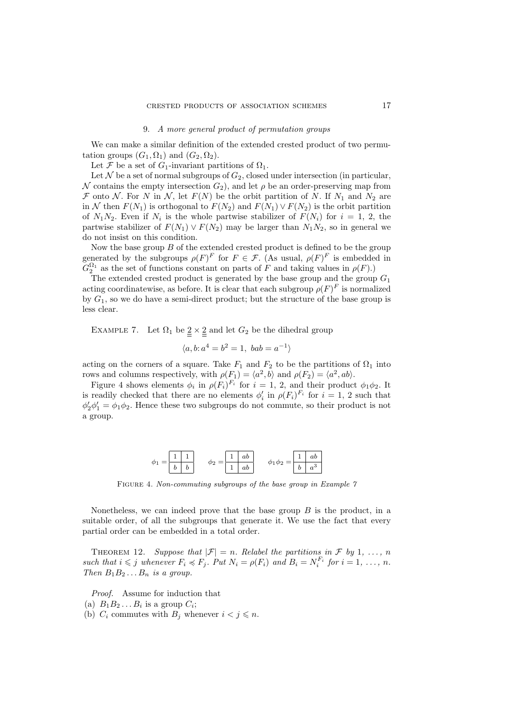### 9. A more general product of permutation groups

We can make a similar definition of the extended crested product of two permutation groups  $(G_1, \Omega_1)$  and  $(G_2, \Omega_2)$ .

Let F be a set of  $G_1$ -invariant partitions of  $\Omega_1$ .

Let  $\mathcal N$  be a set of normal subgroups of  $G_2$ , closed under intersection (in particular, N contains the empty intersection  $G_2$ ), and let  $\rho$  be an order-preserving map from F onto N. For N in N, let  $F(N)$  be the orbit partition of N. If  $N_1$  and  $N_2$  are in N then  $F(N_1)$  is orthogonal to  $F(N_2)$  and  $F(N_1) \vee F(N_2)$  is the orbit partition of  $N_1N_2$ . Even if  $N_i$  is the whole partwise stabilizer of  $F(N_i)$  for  $i = 1, 2$ , the partwise stabilizer of  $F(N_1) \vee F(N_2)$  may be larger than  $N_1N_2$ , so in general we do not insist on this condition.

Now the base group  $B$  of the extended crested product is defined to be the group generated by the subgroups  $\rho(F)^F$  for  $F \in \mathcal{F}$ . (As usual,  $\rho(F)^F$  is embedded in  $G_2^{\Omega_1}$  as the set of functions constant on parts of F and taking values in  $\rho(F)$ .)

The extended crested product is generated by the base group and the group  $G_1$ acting coordinatewise, as before. It is clear that each subgroup  $\rho(F)^F$  is normalized by  $G_1$ , so we do have a semi-direct product; but the structure of the base group is less clear.

EXAMPLE 7. Let  $\Omega_1$  be  $\underline{2} \times \underline{2}$  and let  $G_2$  be the dihedral group

$$
\langle a, b; a^4 = b^2 = 1, bab = a^{-1} \rangle
$$

acting on the corners of a square. Take  $F_1$  and  $F_2$  to be the partitions of  $\Omega_1$  into rows and columns respectively, with  $\rho(F_1) = \langle a^2, b \rangle$  and  $\rho(F_2) = \langle a^2, ab \rangle$ .

Figure 4 shows elements  $\phi_i$  in  $\rho(F_i)^{F_i}$  for  $i = 1, 2$ , and their product  $\phi_1 \phi_2$ . It is readily checked that there are no elements  $\phi'_i$  in  $\rho(F_i)^{F_i}$  for  $i=1, 2$  such that  $\phi'_2\phi'_1 = \phi_1\phi_2$ . Hence these two subgroups do not commute, so their product is not a group.



FIGURE 4. Non-commuting subgroups of the base group in Example 7

Nonetheless, we can indeed prove that the base group  $B$  is the product, in a suitable order, of all the subgroups that generate it. We use the fact that every partial order can be embedded in a total order.

THEOREM 12. Suppose that  $|\mathcal{F}| = n$ . Relabel the partitions in F by 1, ..., n such that  $i \leq j$  whenever  $F_i \preccurlyeq F_j$ . Put  $N_i = \rho(F_i)$  and  $B_i = N_i^{F_i}$  for  $i = 1, \ldots, n$ . Then  $B_1B_2...B_n$  is a group.

Proof. Assume for induction that

(b)  $C_i$  commutes with  $B_j$  whenever  $i < j \leq n$ .

<sup>(</sup>a)  $B_1 B_2 \ldots B_i$  is a group  $C_i$ ;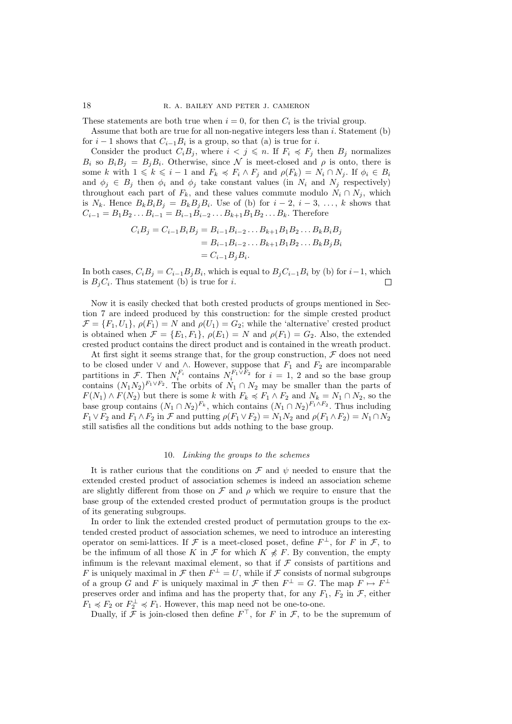#### 18 R. A. BAILEY AND PETER J. CAMERON

These statements are both true when  $i = 0$ , for then  $C_i$  is the trivial group.

Assume that both are true for all non-negative integers less than i. Statement (b) for  $i-1$  shows that  $C_{i-1}B_i$  is a group, so that (a) is true for i.

Consider the product  $C_iB_j$ , where  $i < j \leq n$ . If  $F_i \preccurlyeq F_j$  then  $B_j$  normalizes  $B_i$  so  $B_i B_j = B_j B_i$ . Otherwise, since N is meet-closed and  $\rho$  is onto, there is some k with  $1 \leq k \leq i - 1$  and  $F_k \preccurlyeq F_i \wedge F_j$  and  $\rho(F_k) = N_i \cap N_j$ . If  $\phi_i \in B_i$ and  $\phi_j \in B_j$  then  $\phi_i$  and  $\phi_j$  take constant values (in  $N_i$  and  $N_j$  respectively) throughout each part of  $F_k$ , and these values commute modulo  $N_i \cap N_j$ , which is  $N_k$ . Hence  $B_k B_i B_j = B_k B_j B_i$ . Use of (b) for  $i-2, i-3, \ldots, k$  shows that  $C_{i-1} = B_1 B_2 \dots B_{i-1} = B_{i-1} B_{i-2} \dots B_{k+1} B_1 B_2 \dots B_k$ . Therefore

$$
C_i B_j = C_{i-1} B_i B_j = B_{i-1} B_{i-2} \dots B_{k+1} B_1 B_2 \dots B_k B_i B_j
$$
  
=  $B_{i-1} B_{i-2} \dots B_{k+1} B_1 B_2 \dots B_k B_j B_i$   
=  $C_{i-1} B_j B_i$ .

In both cases,  $C_i B_j = C_{i-1} B_j B_i$ , which is equal to  $B_j C_{i-1} B_i$  by (b) for  $i-1$ , which is  $B_j C_i$ . Thus statement (b) is true for *i*.

Now it is easily checked that both crested products of groups mentioned in Section 7 are indeed produced by this construction: for the simple crested product  $\mathcal{F} = \{F_1, U_1\}, \rho(F_1) = N$  and  $\rho(U_1) = G_2$ ; while the 'alternative' crested product is obtained when  $\mathcal{F} = \{E_1, F_1\}, \rho(E_1) = N$  and  $\rho(F_1) = G_2$ . Also, the extended crested product contains the direct product and is contained in the wreath product.

At first sight it seems strange that, for the group construction,  $\mathcal F$  does not need to be closed under  $\vee$  and  $\wedge$ . However, suppose that  $F_1$  and  $F_2$  are incomparable partitions in F. Then  $N_i^{F_i}$  contains  $N_i^{F_1 \n\vee F_2}$  for  $i = 1, 2$  and so the base group contains  $(N_1N_2)^{F_1\vee F_2}$ . The orbits of  $N_1 \cap N_2$  may be smaller than the parts of  $F(N_1) \wedge F(N_2)$  but there is some k with  $F_k \preccurlyeq F_1 \wedge F_2$  and  $N_k = N_1 \cap N_2$ , so the base group contains  $(N_1 \cap N_2)^{F_k}$ , which contains  $(N_1 \cap N_2)^{F_1 \wedge F_2}$ . Thus including  $F_1 \vee F_2$  and  $F_1 \wedge F_2$  in  $\mathcal F$  and putting  $\rho(F_1 \vee F_2) = N_1N_2$  and  $\rho(F_1 \wedge F_2) = N_1 \cap N_2$ still satisfies all the conditions but adds nothing to the base group.

## 10. Linking the groups to the schemes

It is rather curious that the conditions on  $\mathcal F$  and  $\psi$  needed to ensure that the extended crested product of association schemes is indeed an association scheme are slightly different from those on  $\mathcal F$  and  $\rho$  which we require to ensure that the base group of the extended crested product of permutation groups is the product of its generating subgroups.

In order to link the extended crested product of permutation groups to the extended crested product of association schemes, we need to introduce an interesting operator on semi-lattices. If  $\mathcal F$  is a meet-closed poset, define  $F^{\perp}$ , for F in  $\mathcal F$ , to be the infimum of all those K in F for which  $K \nless F$ . By convention, the empty infimum is the relevant maximal element, so that if  $\mathcal F$  consists of partitions and F is uniquely maximal in  $\mathcal F$  then  $F^{\perp} = U$ , while if  $\mathcal F$  consists of normal subgroups of a group G and F is uniquely maximal in  $\mathcal F$  then  $F^{\perp} = G$ . The map  $F \mapsto F^{\perp}$ preserves order and infima and has the property that, for any  $F_1$ ,  $F_2$  in  $\mathcal F$ , either  $F_1 \preccurlyeq F_2$  or  $F_2^{\perp} \preccurlyeq F_1$ . However, this map need not be one-to-one.

Dually, if  $\tilde{\mathcal{F}}$  is join-closed then define  $F^{\top}$ , for F in  $\mathcal{F}$ , to be the supremum of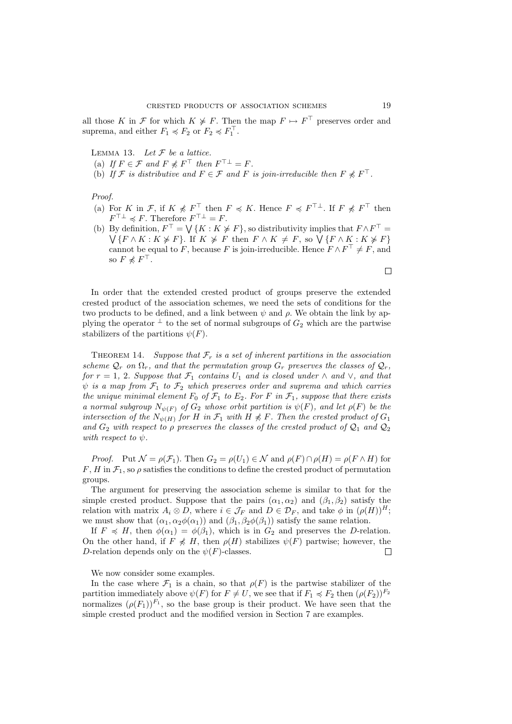all those K in F for which  $K \not\geq F$ . Then the map  $F \mapsto F^{\top}$  preserves order and suprema, and either  $F_1 \preccurlyeq F_2$  or  $F_2 \preccurlyeq F_1^{\top}$ .

LEMMA 13. Let  $F$  be a lattice.

- (a) If  $F \in \mathcal{F}$  and  $F \not\preccurlyeq F^{\top}$  then  $F^{\top \perp} = F$ .
- (b) If F is distributive and  $F \in \mathcal{F}$  and F is join-irreducible then  $F \nless F^{\top}$ .

Proof.

- (a) For K in F, if  $K \nless F^{\top}$  then  $F \preccurlyeq K$ . Hence  $F \preccurlyeq F^{\top}$ . If  $F \nless F^{\top}$  then  $F^{\top \perp} \preccurlyeq F$ . Therefore  $F^{\top \perp} = F$ .
- (b) By definition,  $F^{\top} = \bigvee \{ K : K \not\geq F \}$ , so distributivity implies that  $F \wedge F^{\top} =$  $\bigvee \{F \wedge K : K \neq F\}.$  If  $K \neq F$  then  $F \wedge K \neq F$ , so  $\bigvee \{F \wedge K : K \neq F\}$ cannot be equal to F, because F is join-irreducible. Hence  $F \wedge F^{\top} \neq F$ , and so  $F \not\preccurlyeq F^{\top}$ .

In order that the extended crested product of groups preserve the extended crested product of the association schemes, we need the sets of conditions for the two products to be defined, and a link between  $\psi$  and  $\rho$ . We obtain the link by applying the operator  $\perp$  to the set of normal subgroups of  $G_2$  which are the partwise stabilizers of the partitions  $\psi(F)$ .

THEOREM 14. Suppose that  $\mathcal{F}_r$  is a set of inherent partitions in the association scheme  $\mathcal{Q}_r$  on  $\Omega_r$ , and that the permutation group  $G_r$  preserves the classes of  $\mathcal{Q}_r$ , for  $r = 1, 2$ . Suppose that  $\mathcal{F}_1$  contains  $U_1$  and is closed under  $\wedge$  and  $\vee$ , and that  $\psi$  is a map from  $\mathcal{F}_1$  to  $\mathcal{F}_2$  which preserves order and suprema and which carries the unique minimal element  $F_0$  of  $\mathcal{F}_1$  to  $E_2$ . For F in  $\mathcal{F}_1$ , suppose that there exists a normal subgroup  $N_{\psi(F)}$  of  $G_2$  whose orbit partition is  $\psi(F)$ , and let  $\rho(F)$  be the intersection of the  $N_{\psi(H)}$  for H in  $\mathcal{F}_1$  with  $H \nless F$ . Then the crested product of  $G_1$ and  $G_2$  with respect to  $\rho$  preserves the classes of the crested product of  $\mathcal{Q}_1$  and  $\mathcal{Q}_2$ with respect to  $\psi$ .

*Proof.* Put  $\mathcal{N} = \rho(\mathcal{F}_1)$ . Then  $G_2 = \rho(U_1) \in \mathcal{N}$  and  $\rho(F) \cap \rho(H) = \rho(F \wedge H)$  for  $F, H$  in  $\mathcal{F}_1$ , so  $\rho$  satisfies the conditions to define the crested product of permutation groups.

The argument for preserving the association scheme is similar to that for the simple crested product. Suppose that the pairs  $(\alpha_1, \alpha_2)$  and  $(\beta_1, \beta_2)$  satisfy the relation with matrix  $A_i \otimes D$ , where  $i \in \mathcal{J}_F$  and  $D \in \mathcal{D}_F$ , and take  $\phi$  in  $(\rho(H))^H$ ; we must show that  $(\alpha_1, \alpha_2 \phi(\alpha_1))$  and  $(\beta_1, \beta_2 \phi(\beta_1))$  satisfy the same relation.

If  $F \preccurlyeq H$ , then  $\phi(\alpha_1) = \phi(\beta_1)$ , which is in  $G_2$  and preserves the D-relation. On the other hand, if  $F \nless H$ , then  $\rho(H)$  stabilizes  $\psi(F)$  partwise; however, the D-relation depends only on the  $\psi(F)$ -classes.  $\Box$ 

We now consider some examples.

In the case where  $\mathcal{F}_1$  is a chain, so that  $\rho(F)$  is the partwise stabilizer of the partition immediately above  $\psi(F)$  for  $F \neq U$ , we see that if  $F_1 \preccurlyeq F_2$  then  $(\rho(F_2))^{F_2}$ normalizes  $(\rho(F_1))^{F_1}$ , so the base group is their product. We have seen that the simple crested product and the modified version in Section 7 are examples.

 $\Box$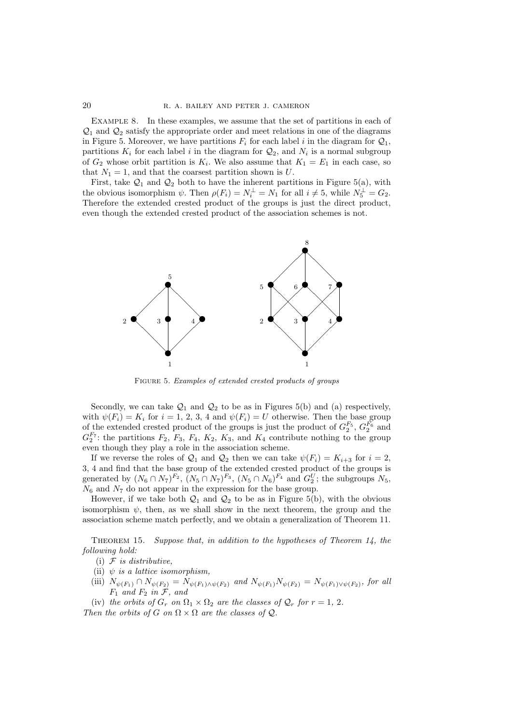EXAMPLE 8. In these examples, we assume that the set of partitions in each of  $\mathcal{Q}_1$  and  $\mathcal{Q}_2$  satisfy the appropriate order and meet relations in one of the diagrams in Figure 5. Moreover, we have partitions  $F_i$  for each label i in the diagram for  $\mathcal{Q}_1$ , partitions  $K_i$  for each label i in the diagram for  $\mathcal{Q}_2$ , and  $N_i$  is a normal subgroup of  $G_2$  whose orbit partition is  $K_i$ . We also assume that  $K_1 = E_1$  in each case, so that  $N_1 = 1$ , and that the coarsest partition shown is U.

First, take  $\mathcal{Q}_1$  and  $\mathcal{Q}_2$  both to have the inherent partitions in Figure 5(a), with the obvious isomorphism  $\psi$ . Then  $\rho(F_i) = N_i^{\perp} = N_1$  for all  $i \neq 5$ , while  $N_5^{\perp} = G_2$ . Therefore the extended crested product of the groups is just the direct product, even though the extended crested product of the association schemes is not.



Figure 5. Examples of extended crested products of groups

Secondly, we can take  $\mathcal{Q}_1$  and  $\mathcal{Q}_2$  to be as in Figures 5(b) and (a) respectively, with  $\psi(F_i) = K_i$  for  $i = 1, 2, 3, 4$  and  $\psi(F_i) = U$  otherwise. Then the base group of the extended crested product of the groups is just the product of  $G_2^{F_5}$ ,  $G_2^{F_6}$  and  $G_2^{F_7}$ : the partitions  $F_2$ ,  $F_3$ ,  $F_4$ ,  $K_2$ ,  $K_3$ , and  $K_4$  contribute nothing to the group even though they play a role in the association scheme.

If we reverse the roles of  $\mathcal{Q}_1$  and  $\mathcal{Q}_2$  then we can take  $\psi(F_i) = K_{i+3}$  for  $i = 2$ , 3, 4 and find that the base group of the extended crested product of the groups is generated by  $(N_6 \cap N_7)^{F_2}$ ,  $(N_5 \cap N_7)^{F_3}$ ,  $(N_5 \cap N_6)^{F_4}$  and  $G_2^U$ ; the subgroups  $N_5$ ,  $N_6$  and  $N_7$  do not appear in the expression for the base group.

However, if we take both  $\mathcal{Q}_1$  and  $\mathcal{Q}_2$  to be as in Figure 5(b), with the obvious isomorphism  $\psi$ , then, as we shall show in the next theorem, the group and the association scheme match perfectly, and we obtain a generalization of Theorem 11.

THEOREM 15. Suppose that, in addition to the hypotheses of Theorem 14, the following hold:

- (i)  $\mathcal F$  is distributive,
- (ii)  $\psi$  is a lattice isomorphism,
- (iii)  $N_{\psi(F_1)} \cap N_{\psi(F_2)} = N_{\psi(F_1) \wedge \psi(F_2)}$  and  $N_{\psi(F_1)} N_{\psi(F_2)} = N_{\psi(F_1) \vee \psi(F_2)}$ , for all  $F_1$  and  $F_2$  in  $\tilde{\mathcal{F}}$ , and
- (iv) the orbits of  $G_r$  on  $\Omega_1 \times \Omega_2$  are the classes of  $\mathcal{Q}_r$  for  $r = 1, 2$ . Then the orbits of G on  $\Omega \times \Omega$  are the classes of  $\mathcal{Q}$ .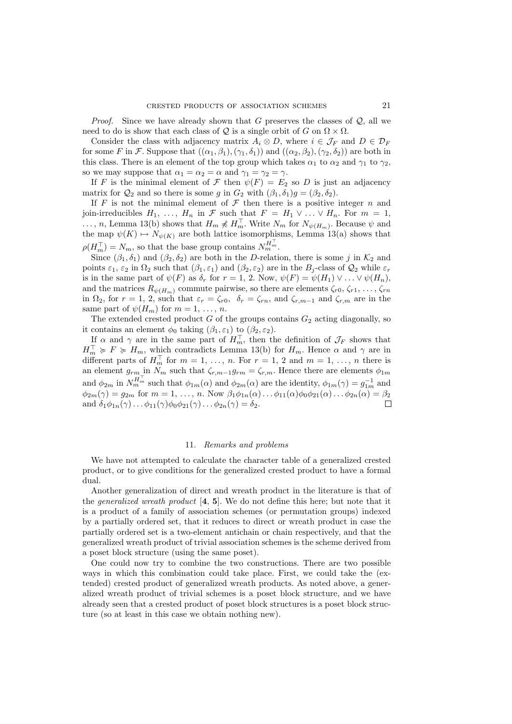*Proof.* Since we have already shown that G preserves the classes of  $Q$ , all we need to do is show that each class of  $\mathcal Q$  is a single orbit of G on  $\Omega \times \Omega$ .

Consider the class with adjacency matrix  $A_i \otimes D$ , where  $i \in \mathcal{J}_F$  and  $D \in \mathcal{D}_F$ for some F in F. Suppose that  $((\alpha_1, \beta_1),(\gamma_1, \delta_1))$  and  $((\alpha_2, \beta_2),(\gamma_2, \delta_2))$  are both in this class. There is an element of the top group which takes  $\alpha_1$  to  $\alpha_2$  and  $\gamma_1$  to  $\gamma_2$ , so we may suppose that  $\alpha_1 = \alpha_2 = \alpha$  and  $\gamma_1 = \gamma_2 = \gamma$ .

If F is the minimal element of F then  $\psi(F) = E_2$  so D is just an adjacency matrix for  $\mathcal{Q}_2$  and so there is some g in  $G_2$  with  $(\beta_1, \delta_1)g = (\beta_2, \delta_2)$ .

If F is not the minimal element of  $\mathcal F$  then there is a positive integer n and join-irreducibles  $H_1, \ldots, H_n$  in  $\mathcal F$  such that  $F = H_1 \vee \ldots \vee H_n$ . For  $m = 1$ , ..., n, Lemma 13(b) shows that  $H_m \not\preccurlyeq H_m^{\top}$ . Write  $N_m$  for  $N_{\psi(H_m)}$ . Because  $\psi$  and the map  $\psi(K) \mapsto N_{\psi(K)}$  are both lattice isomorphisms, Lemma 13(a) shows that  $\rho(H_m^{\top}) = N_m$ , so that the base group contains  $N_m^{H_m^{\top}}$ .

Since  $(\beta_1, \delta_1)$  and  $(\beta_2, \delta_2)$  are both in the D-relation, there is some j in  $\mathcal{K}_2$  and points  $\varepsilon_1$ ,  $\varepsilon_2$  in  $\Omega_2$  such that  $(\beta_1, \varepsilon_1)$  and  $(\beta_2, \varepsilon_2)$  are in the  $B_j$ -class of  $\mathcal{Q}_2$  while  $\varepsilon_r$ is in the same part of  $\psi(F)$  as  $\delta_r$  for  $r = 1, 2$ . Now,  $\psi(F) = \psi(H_1) \vee \ldots \vee \psi(H_n)$ , and the matrices  $R_{\psi(H_m)}$  commute pairwise, so there are elements  $\zeta_{r0}, \zeta_{r1}, \ldots, \zeta_{rn}$ in  $\Omega_2$ , for  $r = 1, 2$ , such that  $\varepsilon_r = \zeta_{r0}$ ,  $\delta_r = \zeta_{rn}$ , and  $\zeta_{r,m-1}$  and  $\zeta_{r,m}$  are in the same part of  $\psi(H_m)$  for  $m = 1, \ldots, n$ .

The extended crested product  $G$  of the groups contains  $G_2$  acting diagonally, so it contains an element  $\phi_0$  taking  $(\beta_1, \varepsilon_1)$  to  $(\beta_2, \varepsilon_2)$ .

If  $\alpha$  and  $\gamma$  are in the same part of  $H_m^{\top}$ , then the definition of  $\mathcal{J}_F$  shows that  $H_m^{\perp} \geq F \geq H_m$ , which contradicts Lemma 13(b) for  $H_m$ . Hence  $\alpha$  and  $\gamma$  are in different parts of  $H_m^{\top}$  for  $m = 1, \ldots, n$ . For  $r = 1, 2$  and  $m = 1, \ldots, n$  there is an element  $g_{rm}$  in  $N_m$  such that  $\zeta_{r,m-1}g_{rm} = \zeta_{r,m}$ . Hence there are elements  $\phi_{1m}$ and  $\phi_{2m}$  in  $N_{m}^{H_{m}^{+}}$  such that  $\phi_{1m}(\alpha)$  and  $\phi_{2m}(\alpha)$  are the identity,  $\phi_{1m}(\gamma) = g_{1m}^{-1}$  and  $\phi_{2m}(\gamma) = g_{2m}$  for  $m = 1, \ldots, n$ . Now  $\beta_1 \phi_{1n}(\alpha) \ldots \phi_{11}(\alpha) \phi_0 \phi_{21}(\alpha) \ldots \phi_{2n}(\alpha) = \beta_2$ and  $\delta_1\phi_{1n}(\gamma)\ldots\phi_{11}(\gamma)\phi_0\phi_{21}(\gamma)\ldots\phi_{2n}(\gamma)=\delta_2.$ 

### 11. Remarks and problems

We have not attempted to calculate the character table of a generalized crested product, or to give conditions for the generalized crested product to have a formal dual.

Another generalization of direct and wreath product in the literature is that of the *generalized wreath product*  $[4, 5]$ . We do not define this here; but note that it is a product of a family of association schemes (or permutation groups) indexed by a partially ordered set, that it reduces to direct or wreath product in case the partially ordered set is a two-element antichain or chain respectively, and that the generalized wreath product of trivial association schemes is the scheme derived from a poset block structure (using the same poset).

One could now try to combine the two constructions. There are two possible ways in which this combination could take place. First, we could take the (extended) crested product of generalized wreath products. As noted above, a generalized wreath product of trivial schemes is a poset block structure, and we have already seen that a crested product of poset block structures is a poset block structure (so at least in this case we obtain nothing new).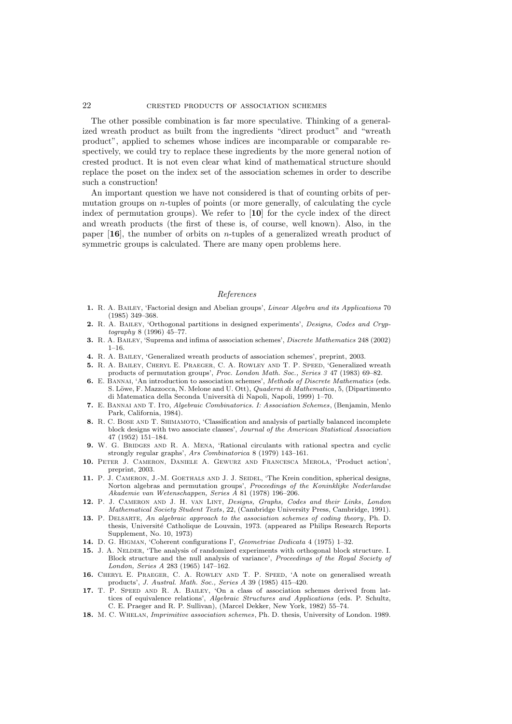The other possible combination is far more speculative. Thinking of a generalized wreath product as built from the ingredients "direct product" and "wreath product", applied to schemes whose indices are incomparable or comparable respectively, we could try to replace these ingredients by the more general notion of crested product. It is not even clear what kind of mathematical structure should replace the poset on the index set of the association schemes in order to describe such a construction!

An important question we have not considered is that of counting orbits of permutation groups on *n*-tuples of points (or more generally, of calculating the cycle index of permutation groups). We refer to [10] for the cycle index of the direct and wreath products (the first of these is, of course, well known). Also, in the paper  $[16]$ , the number of orbits on *n*-tuples of a generalized wreath product of symmetric groups is calculated. There are many open problems here.

## References

- 1. R. A. BAILEY, 'Factorial design and Abelian groups', Linear Algebra and its Applications 70 (1985) 349–368.
- 2. R. A. Bailey, 'Orthogonal partitions in designed experiments', Designs, Codes and Cryp $tography 8 (1996) 45-77.$
- 3. R. A. Bailey, 'Suprema and infima of association schemes', Discrete Mathematics 248 (2002)  $1-16$ .
- 4. R. A. Bailey, 'Generalized wreath products of association schemes', preprint, 2003.
- 5. R. A. Bailey, Cheryl E. Praeger, C. A. Rowley and T. P. Speed, 'Generalized wreath products of permutation groups', Proc. London Math. Soc., Series 3 47 (1983) 69–82.
- 6. E. BANNAI, 'An introduction to association schemes', Methods of Discrete Mathematics (eds. S. Löwe, F. Mazzocca, N. Melone and U. Ott), *Quaderni di Mathematica*, 5, (Dipartimento di Matematica della Seconda Università di Napoli, Napoli, 1999) 1–70.
- 7. E. Bannai and T. Ito, Algebraic Combinatorics. I: Association Schemes, (Benjamin, Menlo Park, California, 1984).
- 8. R. C. BOSE AND T. SHIMAMOTO, 'Classification and analysis of partially balanced incomplete block designs with two associate classes', Journal of the American Statistical Association 47 (1952) 151–184.
- 9. W. G. BRIDGES AND R. A. MENA, 'Rational circulants with rational spectra and cyclic strongly regular graphs', Ars Combinatorica 8 (1979) 143–161.
- 10. Peter J. Cameron, Daniele A. Gewurz and Francesca Merola, 'Product action', preprint, 2003.
- 11. P. J. CAMERON, J.-M. GOETHALS AND J. J. SEIDEL, 'The Krein condition, spherical designs, Norton algebras and permutation groups', Proceedings of the Koninklijke Nederlandse Akademie van Wetenschappen, Series A 81 (1978) 196–206.
- 12. P. J. CAMERON AND J. H. VAN LINT, Designs, Graphs, Codes and their Links, London Mathematical Society Student Texts, 22, (Cambridge University Press, Cambridge, 1991).
- 13. P. DELSARTE, An algebraic approach to the association schemes of coding theory, Ph. D. thesis, Universit´e Catholique de Louvain, 1973. (appeared as Philips Research Reports Supplement, No. 10, 1973)
- 14. D. G. Higman, 'Coherent configurations I', Geometriae Dedicata 4 (1975) 1–32.
- 15. J. A. NELDER, 'The analysis of randomized experiments with orthogonal block structure. I. Block structure and the null analysis of variance', Proceedings of the Royal Society of London, Series A 283 (1965) 147–162.
- 16. Cheryl E. Praeger, C. A. Rowley and T. P. Speed, 'A note on generalised wreath products', J. Austral. Math. Soc., Series A 39 (1985) 415–420.
- 17. T. P. Speed and R. A. Bailey, 'On a class of association schemes derived from lattices of equivalence relations', Algebraic Structures and Applications (eds. P. Schultz, C. E. Praeger and R. P. Sullivan), (Marcel Dekker, New York, 1982) 55–74.
- 18. M. C. Whelan, Imprimitive association schemes, Ph. D. thesis, University of London. 1989.